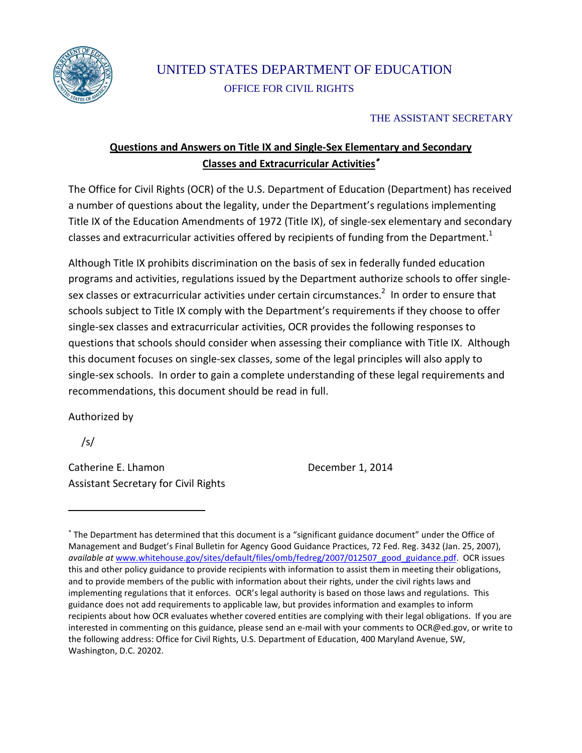

# UNITED STATES DEPARTMENT OF EDUCATION OFFICE FOR CIVIL RIGHTS

### THE ASSISTANT SECRETARY

# **Questions and Answers on Title IX and Single-Sex Elementary and Secondary Classes and Extracurricular Activities**<sup>∗</sup>

The Office for Civil Rights (OCR) of the U.S. Department of Education (Department) has received a number of questions about the legality, under the Department's regulations implementing Title IX of the Education Amendments of 1972 (Title IX), of single-sex elementary and secondary classes and extracurricular activities offered by recipients of funding from the Department.<sup>1</sup>

Although Title IX prohibits discrimination on the basis of sex in federally funded education programs and activities, regulations issued by the Department authorize schools to offer singlesex classes or extracurricular activities under certain circumstances.<sup>2</sup> In order to ensure that schools subject to Title IX comply with the Department's requirements if they choose to offer single-sex classes and extracurricular activities, OCR provides the following responses to questions that schools should consider when assessing their compliance with Title IX. Although this document focuses on single-sex classes, some of the legal principles will also apply to single-sex schools. In order to gain a complete understanding of these legal requirements and recommendations, this document should be read in full.

Authorized by

/s/

Catherine E. Lhamon December 1, 2014 Assistant Secretary for Civil Rights

<sup>∗</sup> The Department has determined that this document is a "significant guidance document" under the Office of Management and Budget's Final Bulletin for Agency Good Guidance Practices, 72 Fed. Reg. 3432 (Jan. 25, 2007), *available at* [www.whitehouse.gov/sites/default/files/omb/fedreg/2007/012507\\_good\\_guidance.pdf.](http://www.whitehouse.gov/sites/default/files/omb/fedreg/2007/012507_good_guidance.pdf) OCR issues this and other policy guidance to provide recipients with information to assist them in meeting their obligations, and to provide members of the public with information about their rights, under the civil rights laws and implementing regulations that it enforces. OCR's legal authority is based on those laws and regulations. This guidance does not add requirements to applicable law, but provides information and examples to inform recipients about how OCR evaluates whether covered entities are complying with their legal obligations. If you are interested in commenting on this guidance, please send an e-mail with your comments to [OCR@ed.gov,](mailto:OCR@ed.gov) or write to the following address: Office for Civil Rights, U.S. Department of Education, 400 Maryland Avenue, SW, Washington, D.C. 20202.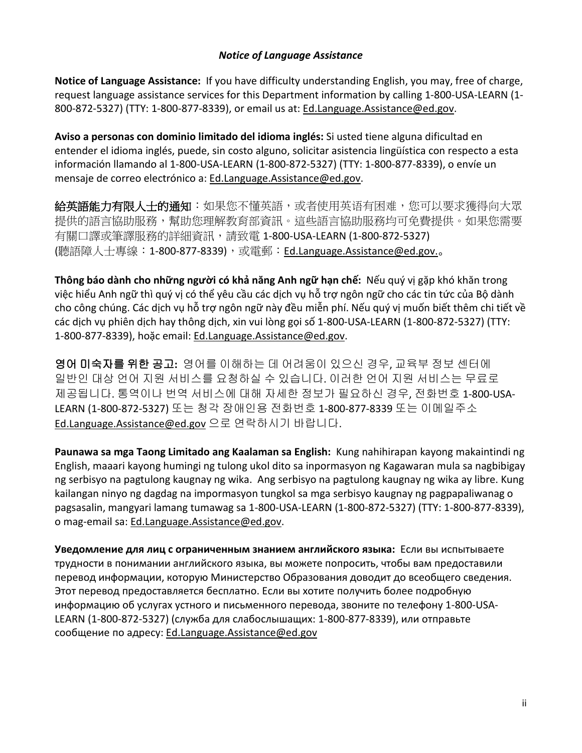#### *Notice of Language Assistance*

**Notice of Language Assistance:** If you have difficulty understanding English, you may, free of charge, request language assistance services for this Department information by calling 1-800-USA-LEARN (1- 800-872-5327) (TTY: 1-800-877-8339), or email us at[: Ed.Language.Assistance@ed.gov.](mailto:Ed.Language.Assistance@ed.gov)

**Aviso a personas con dominio limitado del idioma inglés:** Si usted tiene alguna dificultad en entender el idioma inglés, puede, sin costo alguno, solicitar asistencia lingüística con respecto a esta información llamando al 1-800-USA-LEARN (1-800-872-5327) (TTY: 1-800-877-8339), o envíe un mensaje de correo electrónico a: [Ed.Language.Assistance@ed.gov.](mailto:Ed.Language.Assistance@ed.gov)

**給英語能力有限人士的通知**:如果您不懂英語,或者使用英语有困难,您可以要求獲得向大眾 提供的語言協助服務,幫助您理解教育部資訊。這些語言協助服務均可免費提供。如果您需要 有關口譯或筆譯服務的詳細資訊,請致電 1-800-USA-LEARN (1-800-872-5327) (聽語障人士專線: 1-800-877-8339),或電郵: [Ed.Language.Assistance@ed.gov.](mailto:Ed.Language.Assistance@ed.gov)。

**Thông báo dành cho những người có khả năng Anh ngữ hạn chế:** Nếu quý vị gặp khó khăn trong việc hiểu Anh ngữ thì quý vị có thể yêu cầu các dịch vụ hỗ trợ ngôn ngữ cho các tin tức của Bộ dành cho công chúng. Các dịch vụ hỗ trợ ngôn ngữ này đều miễn phí. Nếu quý vị muốn biết thêm chi tiết về các dịch vụ phiên dịch hay thông dịch, xin vui lòng gọi số 1-800-USA-LEARN (1-800-872-5327) (TTY: 1-800-877-8339), hoặc email: [Ed.Language.Assistance@ed.gov.](mailto:Ed.Language.Assistance@ed.gov)

영어 미숙자를 위한 공고**:** 영어를 이해하는 데 어려움이 있으신 경우, 교육부 정보 센터에 일반인 대상 언어 지원 서비스를 요청하실 수 있습니다. 이러한 언어 지원 서비스는 무료로 제공됩니다. 통역이나 번역 서비스에 대해 자세한 정보가 필요하신 경우, 전화번호 1-800-USA-LEARN (1-800-872-5327) 또는 청각 장애인용 전화번호 1-800-877-8339 또는 이메일주소 [Ed.Language.Assistance@ed.gov](mailto:Ed.Language.Assistance@ed.gov) 으로 연락하시기 바랍니다.

**Paunawa sa mga Taong Limitado ang Kaalaman sa English:** Kung nahihirapan kayong makaintindi ng English, maaari kayong humingi ng tulong ukol dito sa inpormasyon ng Kagawaran mula sa nagbibigay ng serbisyo na pagtulong kaugnay ng wika. Ang serbisyo na pagtulong kaugnay ng wika ay libre. Kung kailangan ninyo ng dagdag na impormasyon tungkol sa mga serbisyo kaugnay ng pagpapaliwanag o pagsasalin, mangyari lamang tumawag sa 1-800-USA-LEARN (1-800-872-5327) (TTY: 1-800-877-8339), o mag-email sa: [Ed.Language.Assistance@ed.gov.](mailto:Ed.Language.Assistance@ed.gov)

**Уведомление для лиц с ограниченным знанием английского языка:** Если вы испытываете трудности в понимании английского языка, вы можете попросить, чтобы вам предоставили перевод информации, которую Министерство Образования доводит до всеобщего сведения. Этот перевод предоставляется бесплатно. Если вы хотите получить более подробную информацию об услугах устного и письменного перевода, звоните по телефону 1-800-USA-LEARN (1-800-872-5327) (служба для слабослышащих: 1-800-877-8339), или отправьте сообщение по адресу: [Ed.Language.Assistance@ed.gov](mailto:Ed.Language.Assistance@ed.gov)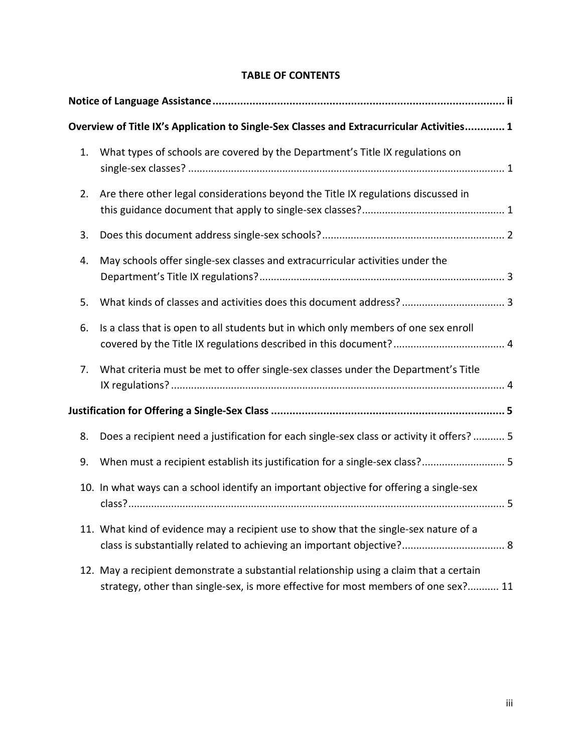|    | Overview of Title IX's Application to Single-Sex Classes and Extracurricular Activities 1                                                                                     |
|----|-------------------------------------------------------------------------------------------------------------------------------------------------------------------------------|
| 1. | What types of schools are covered by the Department's Title IX regulations on                                                                                                 |
| 2. | Are there other legal considerations beyond the Title IX regulations discussed in                                                                                             |
| 3. |                                                                                                                                                                               |
| 4. | May schools offer single-sex classes and extracurricular activities under the                                                                                                 |
| 5. |                                                                                                                                                                               |
| 6. | Is a class that is open to all students but in which only members of one sex enroll                                                                                           |
| 7. | What criteria must be met to offer single-sex classes under the Department's Title                                                                                            |
|    |                                                                                                                                                                               |
| 8. | Does a recipient need a justification for each single-sex class or activity it offers?  5                                                                                     |
| 9. | When must a recipient establish its justification for a single-sex class? 5                                                                                                   |
|    | 10. In what ways can a school identify an important objective for offering a single-sex                                                                                       |
|    | 11. What kind of evidence may a recipient use to show that the single-sex nature of a                                                                                         |
|    | 12. May a recipient demonstrate a substantial relationship using a claim that a certain<br>strategy, other than single-sex, is more effective for most members of one sex? 11 |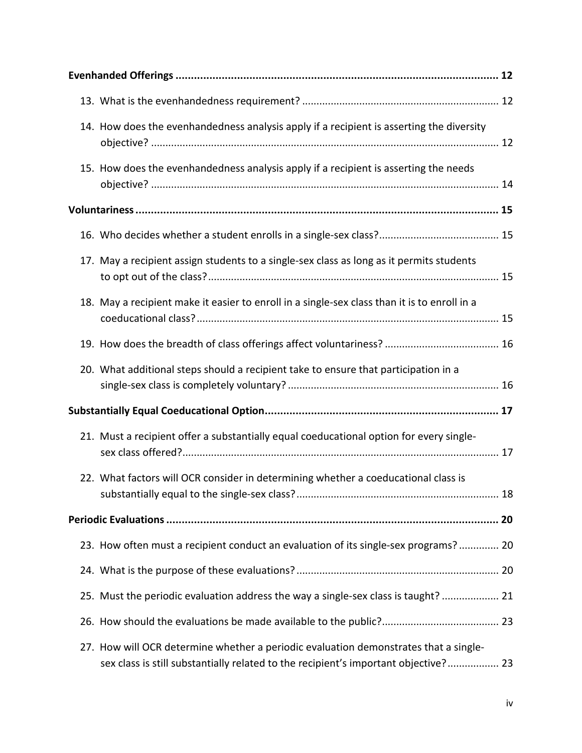|  | 14. How does the evenhandedness analysis apply if a recipient is asserting the diversity                                                                                    |  |  |
|--|-----------------------------------------------------------------------------------------------------------------------------------------------------------------------------|--|--|
|  | 15. How does the evenhandedness analysis apply if a recipient is asserting the needs                                                                                        |  |  |
|  |                                                                                                                                                                             |  |  |
|  |                                                                                                                                                                             |  |  |
|  | 17. May a recipient assign students to a single-sex class as long as it permits students                                                                                    |  |  |
|  | 18. May a recipient make it easier to enroll in a single-sex class than it is to enroll in a                                                                                |  |  |
|  |                                                                                                                                                                             |  |  |
|  | 20. What additional steps should a recipient take to ensure that participation in a                                                                                         |  |  |
|  |                                                                                                                                                                             |  |  |
|  | 21. Must a recipient offer a substantially equal coeducational option for every single-                                                                                     |  |  |
|  | 22. What factors will OCR consider in determining whether a coeducational class is                                                                                          |  |  |
|  |                                                                                                                                                                             |  |  |
|  | 23. How often must a recipient conduct an evaluation of its single-sex programs? 20                                                                                         |  |  |
|  |                                                                                                                                                                             |  |  |
|  | 25. Must the periodic evaluation address the way a single-sex class is taught?  21                                                                                          |  |  |
|  |                                                                                                                                                                             |  |  |
|  | 27. How will OCR determine whether a periodic evaluation demonstrates that a single-<br>sex class is still substantially related to the recipient's important objective? 23 |  |  |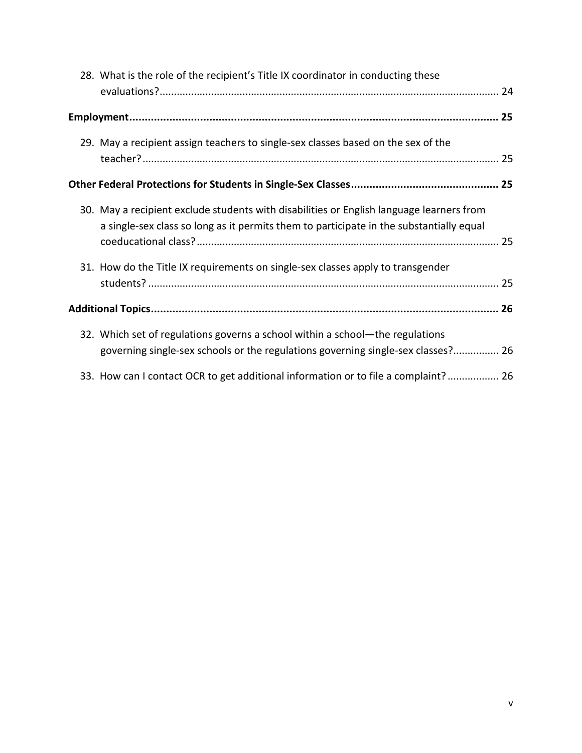|  | 28. What is the role of the recipient's Title IX coordinator in conducting these                                                                                                    |  |  |
|--|-------------------------------------------------------------------------------------------------------------------------------------------------------------------------------------|--|--|
|  |                                                                                                                                                                                     |  |  |
|  |                                                                                                                                                                                     |  |  |
|  |                                                                                                                                                                                     |  |  |
|  | 29. May a recipient assign teachers to single-sex classes based on the sex of the                                                                                                   |  |  |
|  |                                                                                                                                                                                     |  |  |
|  | 30. May a recipient exclude students with disabilities or English language learners from<br>a single-sex class so long as it permits them to participate in the substantially equal |  |  |
|  | 31. How do the Title IX requirements on single-sex classes apply to transgender                                                                                                     |  |  |
|  |                                                                                                                                                                                     |  |  |
|  | 32. Which set of regulations governs a school within a school—the regulations<br>governing single-sex schools or the regulations governing single-sex classes? 26                   |  |  |
|  | 33. How can I contact OCR to get additional information or to file a complaint? 26                                                                                                  |  |  |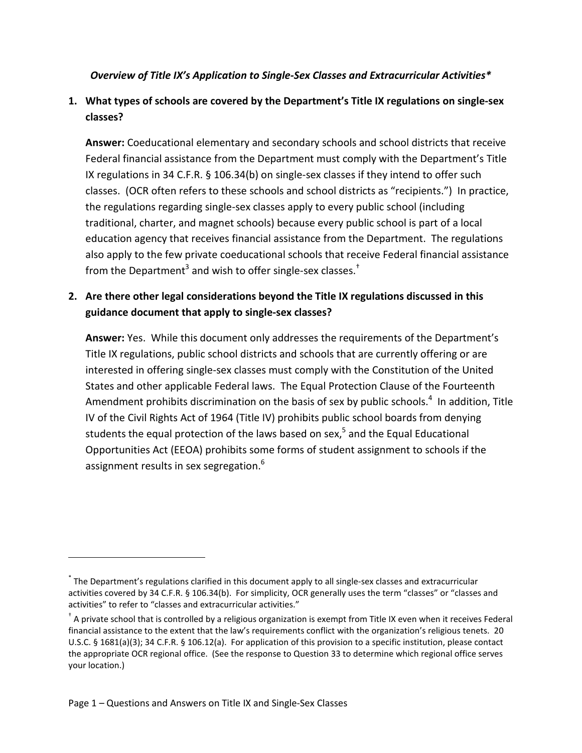### <span id="page-5-0"></span>*Overview of Title IX's Application to Single-Sex Classes and Extracurricular Activities\**

# <span id="page-5-1"></span>**1. What types of schools are covered by the Department's Title IX regulations on single-sex classes?**

**Answer:** Coeducational elementary and secondary schools and school districts that receive Federal financial assistance from the Department must comply with the Department's Title IX regulations in 34 C.F.R. § 106.34(b) on single-sex classes if they intend to offer such classes. (OCR often refers to these schools and school districts as "recipients.") In practice, the regulations regarding single-sex classes apply to every public school (including traditional, charter, and magnet schools) because every public school is part of a local education agency that receives financial assistance from the Department. The regulations also apply to the few private coeducational schools that receive Federal financial assistance from the Department<sup>3</sup> and wish to offer single-sex classes.<sup>†</sup>

# <span id="page-5-2"></span>**2. Are there other legal considerations beyond the Title IX regulations discussed in this guidance document that apply to single-sex classes?**

**Answer:** Yes. While this document only addresses the requirements of the Department's Title IX regulations, public school districts and schools that are currently offering or are interested in offering single-sex classes must comply with the Constitution of the United States and other applicable Federal laws. The Equal Protection Clause of the Fourteenth Amendment prohibits discrimination on the basis of sex by public schools.<sup>4</sup> In addition, Title IV of the Civil Rights Act of 1964 (Title IV) prohibits public school boards from denying students the equal protection of the laws based on sex, $<sup>5</sup>$  and the Equal Educational</sup> Opportunities Act (EEOA) prohibits some forms of student assignment to schools if the assignment results in sex segregation.<sup>6</sup>

<sup>\*</sup> The Department's regulations clarified in this document apply to all single-sex classes and extracurricular activities covered by 34 C.F.R. § 106.34(b). For simplicity, OCR generally uses the term "classes" or "classes and activities" to refer to "classes and extracurricular activities."

 $^{\dagger}$  A private school that is controlled by a religious organization is exempt from Title IX even when it receives Federal financial assistance to the extent that the law's requirements conflict with the organization's religious tenets. 20 U.S.C. § 1681(a)(3); 34 C.F.R. § 106.12(a). For application of this provision to a specific institution, please contact the appropriate OCR regional office. (See the response to Question 33 to determine which regional office serves your location.)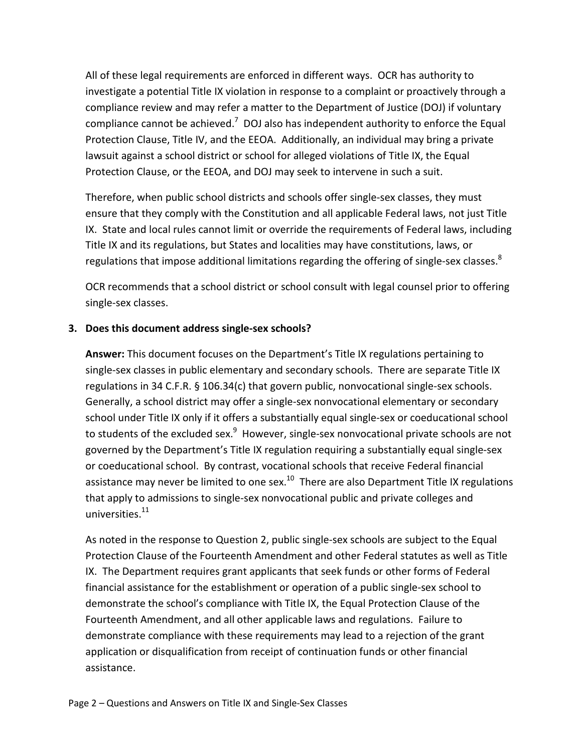All of these legal requirements are enforced in different ways. OCR has authority to investigate a potential Title IX violation in response to a complaint or proactively through a compliance review and may refer a matter to the Department of Justice (DOJ) if voluntary compliance cannot be achieved.<sup>7</sup> DOJ also has independent authority to enforce the Equal Protection Clause, Title IV, and the EEOA. Additionally, an individual may bring a private lawsuit against a school district or school for alleged violations of Title IX, the Equal Protection Clause, or the EEOA, and DOJ may seek to intervene in such a suit.

Therefore, when public school districts and schools offer single-sex classes, they must ensure that they comply with the Constitution and all applicable Federal laws, not just Title IX. State and local rules cannot limit or override the requirements of Federal laws, including Title IX and its regulations, but States and localities may have constitutions, laws, or regulations that impose additional limitations regarding the offering of single-sex classes.<sup>8</sup>

OCR recommends that a school district or school consult with legal counsel prior to offering single-sex classes.

### <span id="page-6-0"></span>**3. Does this document address single-sex schools?**

**Answer:** This document focuses on the Department's Title IX regulations pertaining to single-sex classes in public elementary and secondary schools. There are separate Title IX regulations in 34 C.F.R. § 106.34(c) that govern public, nonvocational single-sex schools. Generally, a school district may offer a single-sex nonvocational elementary or secondary school under Title IX only if it offers a substantially equal single-sex or coeducational school to students of the excluded sex.<sup>9</sup> However, single-sex nonvocational private schools are not governed by the Department's Title IX regulation requiring a substantially equal single-sex or coeducational school. By contrast, vocational schools that receive Federal financial assistance may never be limited to one sex. $10$  There are also Department Title IX regulations that apply to admissions to single-sex nonvocational public and private colleges and universities.<sup>11</sup>

As noted in the response to Question 2, public single-sex schools are subject to the Equal Protection Clause of the Fourteenth Amendment and other Federal statutes as well as Title IX. The Department requires grant applicants that seek funds or other forms of Federal financial assistance for the establishment or operation of a public single-sex school to demonstrate the school's compliance with Title IX, the Equal Protection Clause of the Fourteenth Amendment, and all other applicable laws and regulations. Failure to demonstrate compliance with these requirements may lead to a rejection of the grant application or disqualification from receipt of continuation funds or other financial assistance.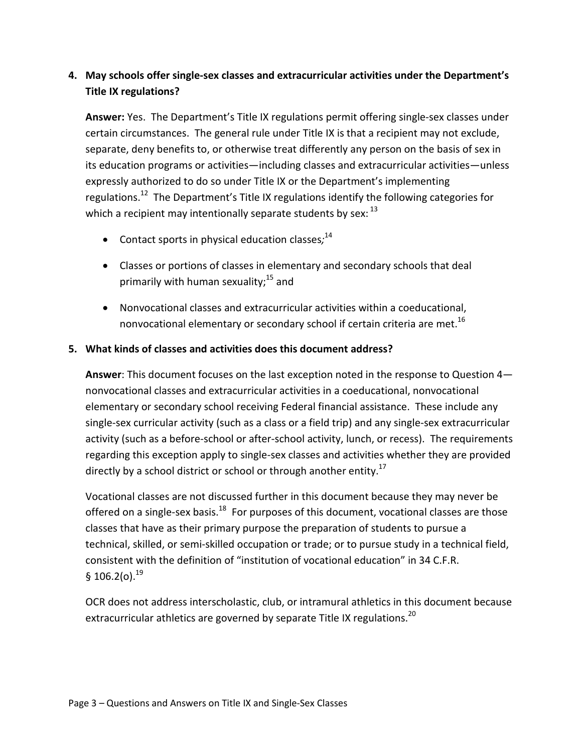# <span id="page-7-0"></span>**4. May schools offer single-sex classes and extracurricular activities under the Department's Title IX regulations?**

**Answer:** Yes. The Department's Title IX regulations permit offering single-sex classes under certain circumstances. The general rule under Title IX is that a recipient may not exclude, separate, deny benefits to, or otherwise treat differently any person on the basis of sex in its education programs or activities—including classes and extracurricular activities—unless expressly authorized to do so under Title IX or the Department's implementing regulations.<sup>12</sup> The Department's Title IX regulations identify the following categories for which a recipient may intentionally separate students by sex:  $^{13}$ 

- Contact sports in physical education classes*;* 14
- Classes or portions of classes in elementary and secondary schools that deal primarily with human sexuality;<sup>15</sup> and
- Nonvocational classes and extracurricular activities within a coeducational, nonvocational elementary or secondary school if certain criteria are met.<sup>16</sup>

### <span id="page-7-1"></span>**5. What kinds of classes and activities does this document address?**

**Answer**: This document focuses on the last exception noted in the response to Question 4 nonvocational classes and extracurricular activities in a coeducational, nonvocational elementary or secondary school receiving Federal financial assistance. These include any single-sex curricular activity (such as a class or a field trip) and any single-sex extracurricular activity (such as a before-school or after-school activity, lunch, or recess). The requirements regarding this exception apply to single-sex classes and activities whether they are provided directly by a school district or school or through another entity.<sup>17</sup>

Vocational classes are not discussed further in this document because they may never be offered on a single-sex basis.<sup>18</sup> For purposes of this document, vocational classes are those classes that have as their primary purpose the preparation of students to pursue a technical, skilled, or semi-skilled occupation or trade; or to pursue study in a technical field, consistent with the definition of "institution of vocational education" in 34 C.F.R. § 106.2(o). $^{19}$ 

OCR does not address interscholastic, club, or intramural athletics in this document because extracurricular athletics are governed by separate Title IX regulations.<sup>20</sup>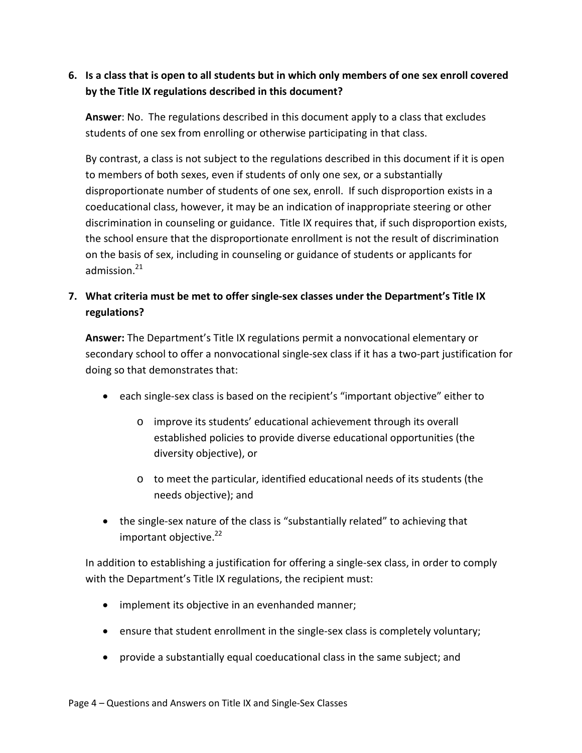# <span id="page-8-0"></span>**6. Is a class that is open to all students but in which only members of one sex enroll covered by the Title IX regulations described in this document?**

**Answer**: No. The regulations described in this document apply to a class that excludes students of one sex from enrolling or otherwise participating in that class.

By contrast, a class is not subject to the regulations described in this document if it is open to members of both sexes, even if students of only one sex, or a substantially disproportionate number of students of one sex, enroll. If such disproportion exists in a coeducational class, however, it may be an indication of inappropriate steering or other discrimination in counseling or guidance. Title IX requires that, if such disproportion exists, the school ensure that the disproportionate enrollment is not the result of discrimination on the basis of sex, including in counseling or guidance of students or applicants for admission. $21$ 

# <span id="page-8-1"></span>**7. What criteria must be met to offer single-sex classes under the Department's Title IX regulations?**

**Answer:** The Department's Title IX regulations permit a nonvocational elementary or secondary school to offer a nonvocational single-sex class if it has a two-part justification for doing so that demonstrates that:

- each single-sex class is based on the recipient's "important objective" either to
	- o improve its students' educational achievement through its overall established policies to provide diverse educational opportunities (the diversity objective), or
	- o to meet the particular, identified educational needs of its students (the needs objective); and
- the single-sex nature of the class is "substantially related" to achieving that important objective. 22

In addition to establishing a justification for offering a single-sex class, in order to comply with the Department's Title IX regulations, the recipient must:

- implement its objective in an evenhanded manner;
- ensure that student enrollment in the single-sex class is completely voluntary;
- provide a substantially equal coeducational class in the same subject; and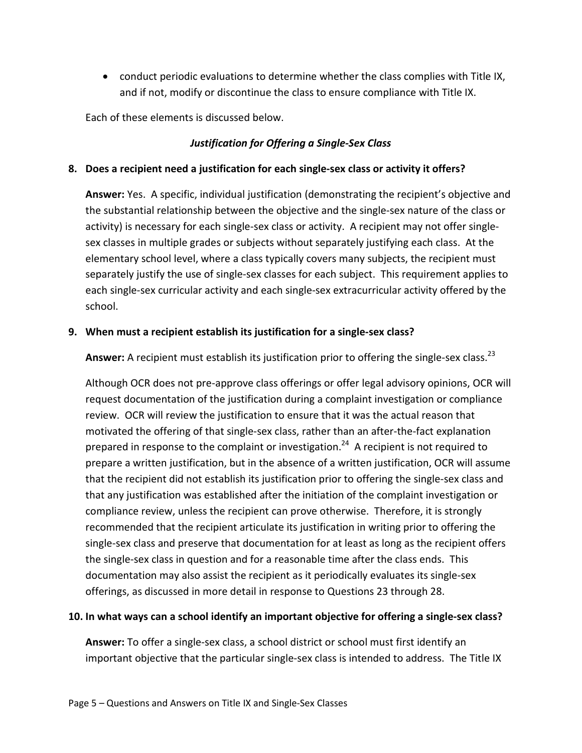• conduct periodic evaluations to determine whether the class complies with Title IX, and if not, modify or discontinue the class to ensure compliance with Title IX.

Each of these elements is discussed below.

### *Justification for Offering a Single-Sex Class*

### <span id="page-9-1"></span><span id="page-9-0"></span>**8. Does a recipient need a justification for each single-sex class or activity it offers?**

**Answer:** Yes. A specific, individual justification (demonstrating the recipient's objective and the substantial relationship between the objective and the single-sex nature of the class or activity) is necessary for each single-sex class or activity. A recipient may not offer singlesex classes in multiple grades or subjects without separately justifying each class. At the elementary school level, where a class typically covers many subjects, the recipient must separately justify the use of single-sex classes for each subject. This requirement applies to each single-sex curricular activity and each single-sex extracurricular activity offered by the school.

### <span id="page-9-2"></span>**9. When must a recipient establish its justification for a single-sex class?**

Answer: A recipient must establish its justification prior to offering the single-sex class.<sup>23</sup>

Although OCR does not pre-approve class offerings or offer legal advisory opinions, OCR will request documentation of the justification during a complaint investigation or compliance review. OCR will review the justification to ensure that it was the actual reason that motivated the offering of that single-sex class, rather than an after-the-fact explanation prepared in response to the complaint or investigation.<sup>24</sup> A recipient is not required to prepare a written justification, but in the absence of a written justification, OCR will assume that the recipient did not establish its justification prior to offering the single-sex class and that any justification was established after the initiation of the complaint investigation or compliance review, unless the recipient can prove otherwise. Therefore, it is strongly recommended that the recipient articulate its justification in writing prior to offering the single-sex class and preserve that documentation for at least as long as the recipient offers the single-sex class in question and for a reasonable time after the class ends. This documentation may also assist the recipient as it periodically evaluates its single-sex offerings, as discussed in more detail in response to Questions 23 through 28.

#### <span id="page-9-3"></span>**10. In what ways can a school identify an important objective for offering a single-sex class?**

**Answer:** To offer a single-sex class, a school district or school must first identify an important objective that the particular single-sex class is intended to address. The Title IX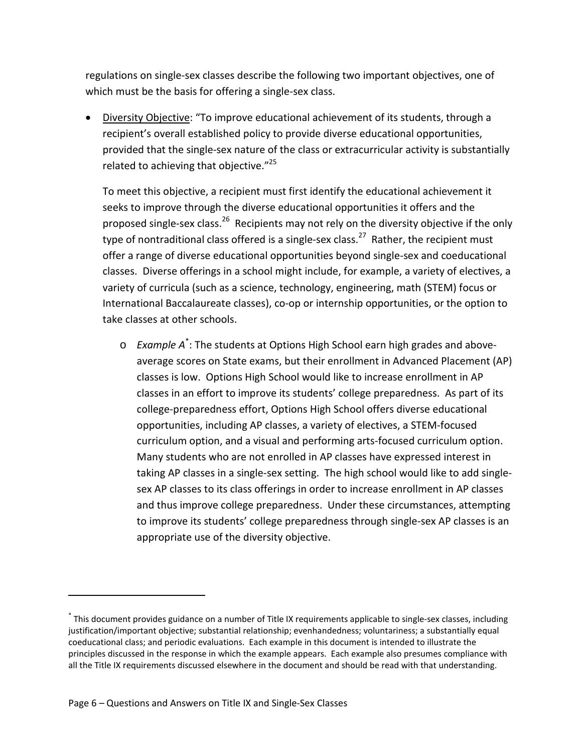regulations on single-sex classes describe the following two important objectives, one of which must be the basis for offering a single-sex class.

• Diversity Objective: "To improve educational achievement of its students, through a recipient's overall established policy to provide diverse educational opportunities, provided that the single-sex nature of the class or extracurricular activity is substantially related to achieving that objective."<sup>25</sup>

To meet this objective, a recipient must first identify the educational achievement it seeks to improve through the diverse educational opportunities it offers and the proposed single-sex class.<sup>26</sup> Recipients may not rely on the diversity objective if the only type of nontraditional class offered is a single-sex class.<sup>27</sup> Rather, the recipient must offer a range of diverse educational opportunities beyond single-sex and coeducational classes. Diverse offerings in a school might include, for example, a variety of electives, a variety of curricula (such as a science, technology, engineering, math (STEM) focus or International Baccalaureate classes), co-op or internship opportunities, or the option to take classes at other schools.

o *Example A*\* : The students at Options High School earn high grades and aboveaverage scores on State exams, but their enrollment in Advanced Placement (AP) classes is low. Options High School would like to increase enrollment in AP classes in an effort to improve its students' college preparedness. As part of its college-preparedness effort, Options High School offers diverse educational opportunities, including AP classes, a variety of electives, a STEM-focused curriculum option, and a visual and performing arts-focused curriculum option. Many students who are not enrolled in AP classes have expressed interest in taking AP classes in a single-sex setting. The high school would like to add singlesex AP classes to its class offerings in order to increase enrollment in AP classes and thus improve college preparedness. Under these circumstances, attempting to improve its students' college preparedness through single-sex AP classes is an appropriate use of the diversity objective.

 $\overline{a}$ 

<sup>\*</sup> This document provides guidance on a number of Title IX requirements applicable to single-sex classes, including justification/important objective; substantial relationship; evenhandedness; voluntariness; a substantially equal coeducational class; and periodic evaluations. Each example in this document is intended to illustrate the principles discussed in the response in which the example appears. Each example also presumes compliance with all the Title IX requirements discussed elsewhere in the document and should be read with that understanding.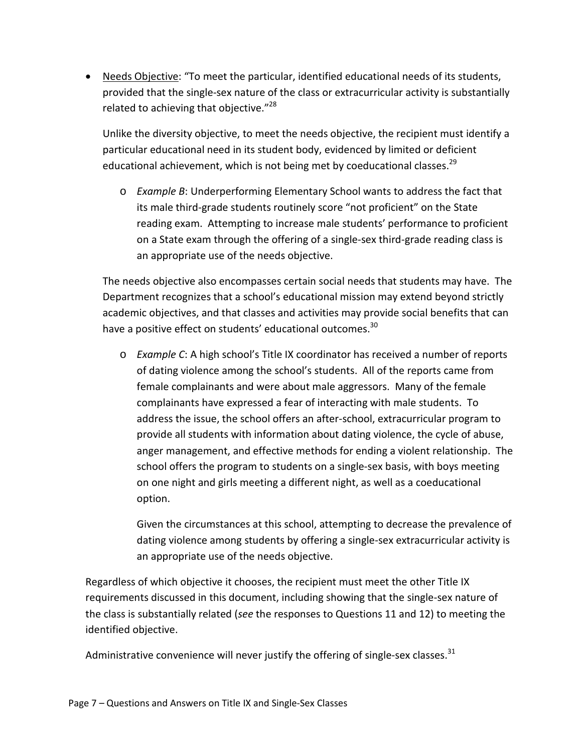• Needs Objective: "To meet the particular, identified educational needs of its students, provided that the single-sex nature of the class or extracurricular activity is substantially related to achieving that objective."<sup>28</sup>

Unlike the diversity objective, to meet the needs objective, the recipient must identify a particular educational need in its student body, evidenced by limited or deficient educational achievement, which is not being met by coeducational classes.<sup>29</sup>

o *Example B*: Underperforming Elementary School wants to address the fact that its male third-grade students routinely score "not proficient" on the State reading exam. Attempting to increase male students' performance to proficient on a State exam through the offering of a single-sex third-grade reading class is an appropriate use of the needs objective.

The needs objective also encompasses certain social needs that students may have. The Department recognizes that a school's educational mission may extend beyond strictly academic objectives, and that classes and activities may provide social benefits that can have a positive effect on students' educational outcomes.<sup>30</sup>

o *Example C*: A high school's Title IX coordinator has received a number of reports of dating violence among the school's students. All of the reports came from female complainants and were about male aggressors. Many of the female complainants have expressed a fear of interacting with male students. To address the issue, the school offers an after-school, extracurricular program to provide all students with information about dating violence, the cycle of abuse, anger management, and effective methods for ending a violent relationship. The school offers the program to students on a single-sex basis, with boys meeting on one night and girls meeting a different night, as well as a coeducational option.

Given the circumstances at this school, attempting to decrease the prevalence of dating violence among students by offering a single-sex extracurricular activity is an appropriate use of the needs objective.

Regardless of which objective it chooses, the recipient must meet the other Title IX requirements discussed in this document, including showing that the single-sex nature of the class is substantially related (*see* the responses to Questions 11 and 12) to meeting the identified objective.

Administrative convenience will never justify the offering of single-sex classes.<sup>31</sup>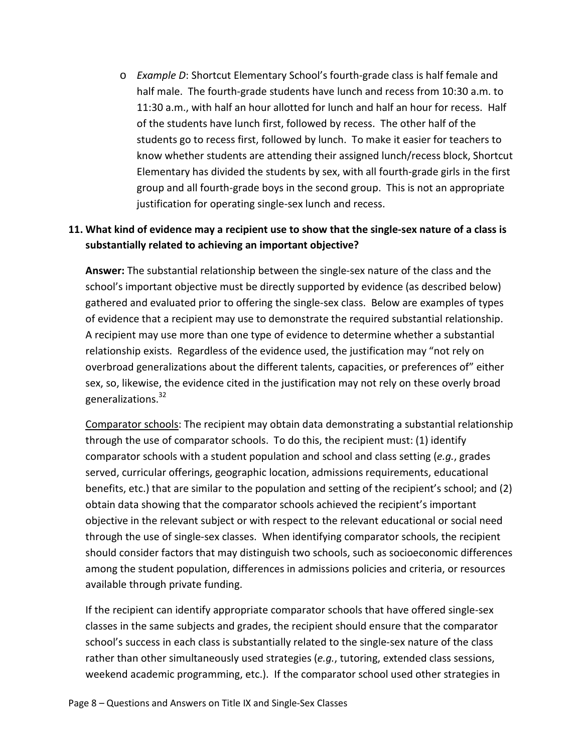o *Example D*: Shortcut Elementary School's fourth-grade class is half female and half male. The fourth-grade students have lunch and recess from 10:30 a.m. to 11:30 a.m., with half an hour allotted for lunch and half an hour for recess. Half of the students have lunch first, followed by recess. The other half of the students go to recess first, followed by lunch. To make it easier for teachers to know whether students are attending their assigned lunch/recess block, Shortcut Elementary has divided the students by sex, with all fourth-grade girls in the first group and all fourth-grade boys in the second group. This is not an appropriate justification for operating single-sex lunch and recess.

### <span id="page-12-0"></span>**11. What kind of evidence may a recipient use to show that the single-sex nature of a class is substantially related to achieving an important objective?**

**Answer:** The substantial relationship between the single-sex nature of the class and the school's important objective must be directly supported by evidence (as described below) gathered and evaluated prior to offering the single-sex class. Below are examples of types of evidence that a recipient may use to demonstrate the required substantial relationship. A recipient may use more than one type of evidence to determine whether a substantial relationship exists. Regardless of the evidence used, the justification may "not rely on overbroad generalizations about the different talents, capacities, or preferences of" either sex, so, likewise, the evidence cited in the justification may not rely on these overly broad generalizations.<sup>32</sup>

Comparator schools: The recipient may obtain data demonstrating a substantial relationship through the use of comparator schools. To do this, the recipient must: (1) identify comparator schools with a student population and school and class setting (*e.g.*, grades served, curricular offerings, geographic location, admissions requirements, educational benefits, etc.) that are similar to the population and setting of the recipient's school; and (2) obtain data showing that the comparator schools achieved the recipient's important objective in the relevant subject or with respect to the relevant educational or social need through the use of single-sex classes. When identifying comparator schools, the recipient should consider factors that may distinguish two schools, such as socioeconomic differences among the student population, differences in admissions policies and criteria, or resources available through private funding.

If the recipient can identify appropriate comparator schools that have offered single-sex classes in the same subjects and grades, the recipient should ensure that the comparator school's success in each class is substantially related to the single-sex nature of the class rather than other simultaneously used strategies (*e.g.*, tutoring, extended class sessions, weekend academic programming, etc.). If the comparator school used other strategies in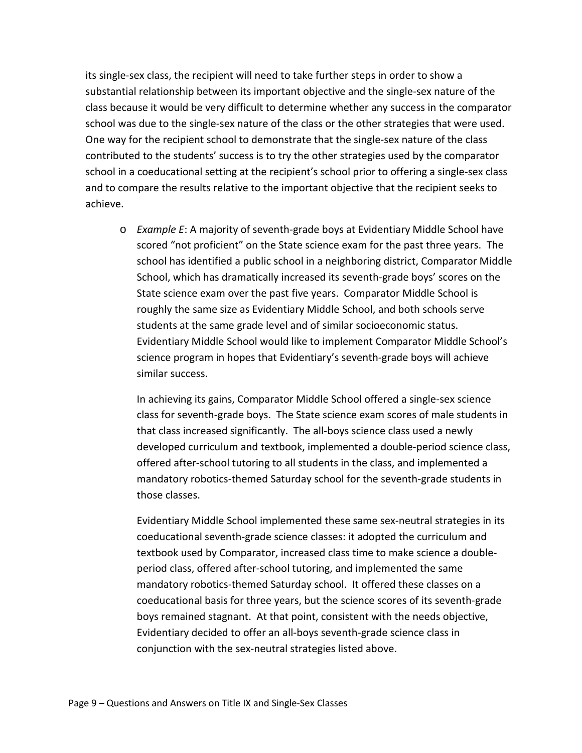its single-sex class, the recipient will need to take further steps in order to show a substantial relationship between its important objective and the single-sex nature of the class because it would be very difficult to determine whether any success in the comparator school was due to the single-sex nature of the class or the other strategies that were used. One way for the recipient school to demonstrate that the single-sex nature of the class contributed to the students' success is to try the other strategies used by the comparator school in a coeducational setting at the recipient's school prior to offering a single-sex class and to compare the results relative to the important objective that the recipient seeks to achieve.

o *Example E*: A majority of seventh-grade boys at Evidentiary Middle School have scored "not proficient" on the State science exam for the past three years. The school has identified a public school in a neighboring district, Comparator Middle School, which has dramatically increased its seventh-grade boys' scores on the State science exam over the past five years. Comparator Middle School is roughly the same size as Evidentiary Middle School, and both schools serve students at the same grade level and of similar socioeconomic status. Evidentiary Middle School would like to implement Comparator Middle School's science program in hopes that Evidentiary's seventh-grade boys will achieve similar success.

In achieving its gains, Comparator Middle School offered a single-sex science class for seventh-grade boys. The State science exam scores of male students in that class increased significantly. The all-boys science class used a newly developed curriculum and textbook, implemented a double-period science class, offered after-school tutoring to all students in the class, and implemented a mandatory robotics-themed Saturday school for the seventh-grade students in those classes.

Evidentiary Middle School implemented these same sex-neutral strategies in its coeducational seventh-grade science classes: it adopted the curriculum and textbook used by Comparator, increased class time to make science a doubleperiod class, offered after-school tutoring, and implemented the same mandatory robotics-themed Saturday school. It offered these classes on a coeducational basis for three years, but the science scores of its seventh-grade boys remained stagnant. At that point, consistent with the needs objective, Evidentiary decided to offer an all-boys seventh-grade science class in conjunction with the sex-neutral strategies listed above.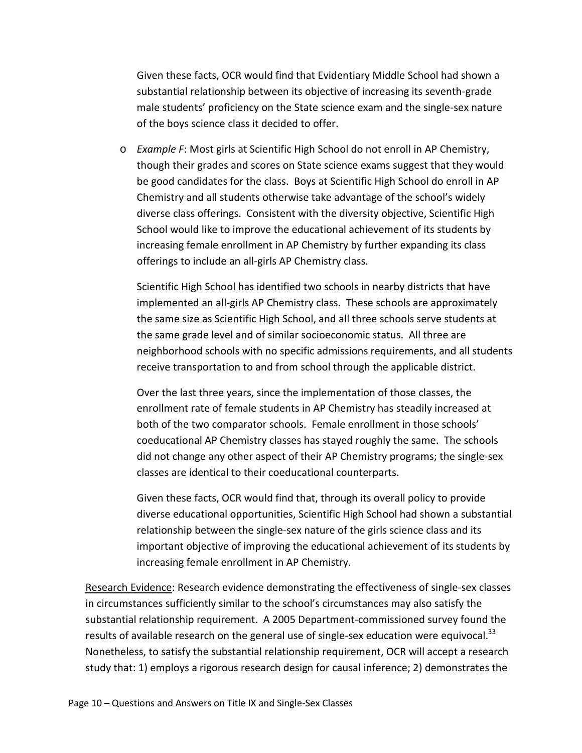Given these facts, OCR would find that Evidentiary Middle School had shown a substantial relationship between its objective of increasing its seventh-grade male students' proficiency on the State science exam and the single-sex nature of the boys science class it decided to offer.

o *Example F*: Most girls at Scientific High School do not enroll in AP Chemistry, though their grades and scores on State science exams suggest that they would be good candidates for the class. Boys at Scientific High School do enroll in AP Chemistry and all students otherwise take advantage of the school's widely diverse class offerings. Consistent with the diversity objective, Scientific High School would like to improve the educational achievement of its students by increasing female enrollment in AP Chemistry by further expanding its class offerings to include an all-girls AP Chemistry class.

Scientific High School has identified two schools in nearby districts that have implemented an all-girls AP Chemistry class. These schools are approximately the same size as Scientific High School, and all three schools serve students at the same grade level and of similar socioeconomic status. All three are neighborhood schools with no specific admissions requirements, and all students receive transportation to and from school through the applicable district.

Over the last three years, since the implementation of those classes, the enrollment rate of female students in AP Chemistry has steadily increased at both of the two comparator schools. Female enrollment in those schools' coeducational AP Chemistry classes has stayed roughly the same. The schools did not change any other aspect of their AP Chemistry programs; the single-sex classes are identical to their coeducational counterparts.

Given these facts, OCR would find that, through its overall policy to provide diverse educational opportunities, Scientific High School had shown a substantial relationship between the single-sex nature of the girls science class and its important objective of improving the educational achievement of its students by increasing female enrollment in AP Chemistry.

Research Evidence: Research evidence demonstrating the effectiveness of single-sex classes in circumstances sufficiently similar to the school's circumstances may also satisfy the substantial relationship requirement. A 2005 Department-commissioned survey found the results of available research on the general use of single-sex education were equivocal.<sup>33</sup> Nonetheless, to satisfy the substantial relationship requirement, OCR will accept a research study that: 1) employs a rigorous research design for causal inference; 2) demonstrates the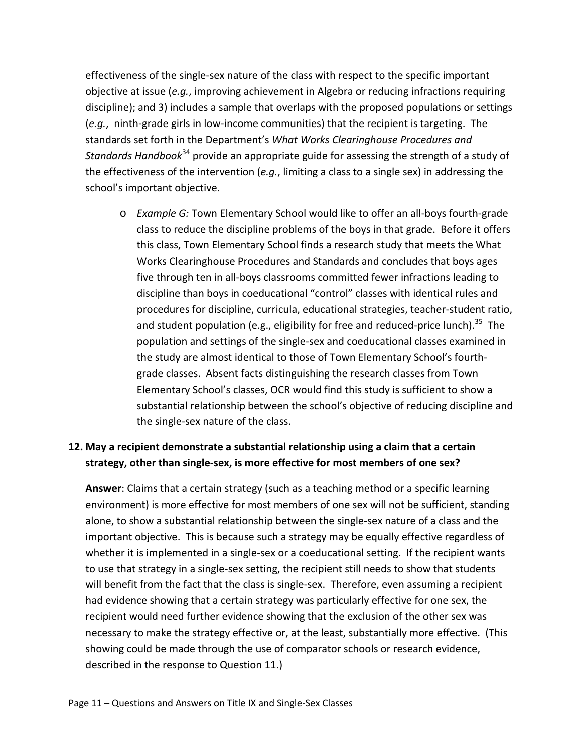effectiveness of the single-sex nature of the class with respect to the specific important objective at issue (*e.g.*, improving achievement in Algebra or reducing infractions requiring discipline); and 3) includes a sample that overlaps with the proposed populations or settings (*e.g.*, ninth-grade girls in low-income communities) that the recipient is targeting. The standards set forth in the Department's *What Works Clearinghouse Procedures and Standards Handbook*<sup>34</sup> provide an appropriate guide for assessing the strength of a study of the effectiveness of the intervention (*e.g.*, limiting a class to a single sex) in addressing the school's important objective.

o *Example G:* Town Elementary School would like to offer an all-boys fourth-grade class to reduce the discipline problems of the boys in that grade. Before it offers this class, Town Elementary School finds a research study that meets the What Works Clearinghouse Procedures and Standards and concludes that boys ages five through ten in all-boys classrooms committed fewer infractions leading to discipline than boys in coeducational "control" classes with identical rules and procedures for discipline, curricula, educational strategies, teacher-student ratio, and student population (e.g., eligibility for free and reduced-price lunch).<sup>35</sup> The population and settings of the single-sex and coeducational classes examined in the study are almost identical to those of Town Elementary School's fourthgrade classes. Absent facts distinguishing the research classes from Town Elementary School's classes, OCR would find this study is sufficient to show a substantial relationship between the school's objective of reducing discipline and the single-sex nature of the class.

# <span id="page-15-0"></span>**12. May a recipient demonstrate a substantial relationship using a claim that a certain strategy, other than single-sex, is more effective for most members of one sex?**

**Answer**: Claims that a certain strategy (such as a teaching method or a specific learning environment) is more effective for most members of one sex will not be sufficient, standing alone, to show a substantial relationship between the single-sex nature of a class and the important objective. This is because such a strategy may be equally effective regardless of whether it is implemented in a single-sex or a coeducational setting. If the recipient wants to use that strategy in a single-sex setting, the recipient still needs to show that students will benefit from the fact that the class is single-sex. Therefore, even assuming a recipient had evidence showing that a certain strategy was particularly effective for one sex, the recipient would need further evidence showing that the exclusion of the other sex was necessary to make the strategy effective or, at the least, substantially more effective. (This showing could be made through the use of comparator schools or research evidence, described in the response to Question 11.)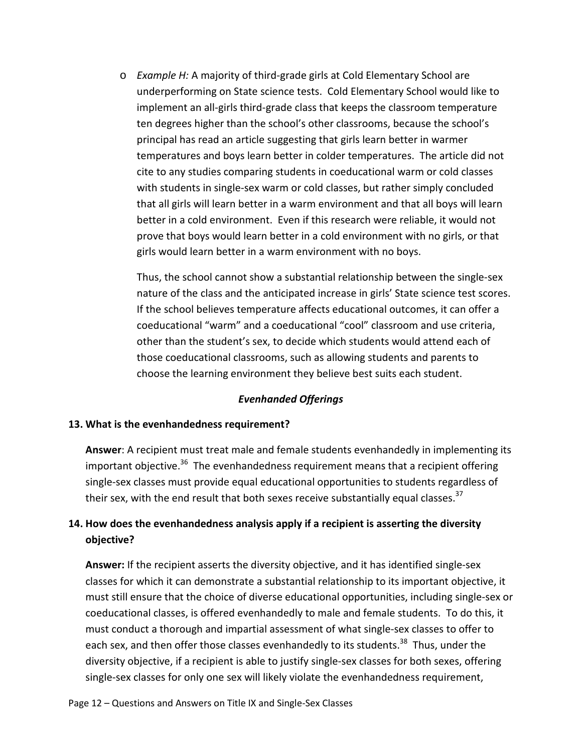o *Example H:* A majority of third-grade girls at Cold Elementary School are underperforming on State science tests. Cold Elementary School would like to implement an all-girls third-grade class that keeps the classroom temperature ten degrees higher than the school's other classrooms, because the school's principal has read an article suggesting that girls learn better in warmer temperatures and boys learn better in colder temperatures. The article did not cite to any studies comparing students in coeducational warm or cold classes with students in single-sex warm or cold classes, but rather simply concluded that all girls will learn better in a warm environment and that all boys will learn better in a cold environment. Even if this research were reliable, it would not prove that boys would learn better in a cold environment with no girls, or that girls would learn better in a warm environment with no boys.

Thus, the school cannot show a substantial relationship between the single-sex nature of the class and the anticipated increase in girls' State science test scores. If the school believes temperature affects educational outcomes, it can offer a coeducational "warm" and a coeducational "cool" classroom and use criteria, other than the student's sex, to decide which students would attend each of those coeducational classrooms, such as allowing students and parents to choose the learning environment they believe best suits each student.

#### *Evenhanded Offerings*

#### <span id="page-16-1"></span><span id="page-16-0"></span>**13. What is the evenhandedness requirement?**

**Answer**: A recipient must treat male and female students evenhandedly in implementing its important objective.<sup>36</sup> The evenhandedness requirement means that a recipient offering single-sex classes must provide equal educational opportunities to students regardless of their sex, with the end result that both sexes receive substantially equal classes.<sup>37</sup>

### <span id="page-16-2"></span>**14. How does the evenhandedness analysis apply if a recipient is asserting the diversity objective?**

**Answer:** If the recipient asserts the diversity objective, and it has identified single-sex classes for which it can demonstrate a substantial relationship to its important objective, it must still ensure that the choice of diverse educational opportunities, including single-sex or coeducational classes, is offered evenhandedly to male and female students. To do this, it must conduct a thorough and impartial assessment of what single-sex classes to offer to each sex, and then offer those classes evenhandedly to its students.<sup>38</sup> Thus, under the diversity objective, if a recipient is able to justify single-sex classes for both sexes, offering single-sex classes for only one sex will likely violate the evenhandedness requirement,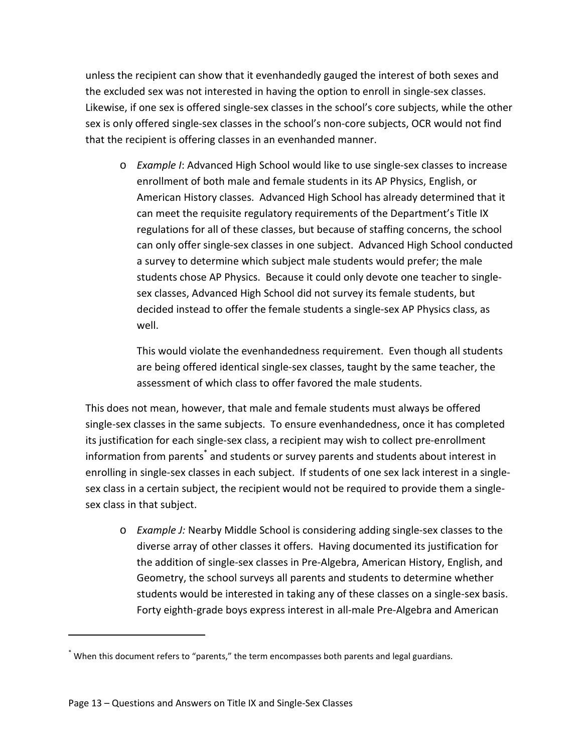unless the recipient can show that it evenhandedly gauged the interest of both sexes and the excluded sex was not interested in having the option to enroll in single-sex classes. Likewise, if one sex is offered single-sex classes in the school's core subjects, while the other sex is only offered single-sex classes in the school's non-core subjects, OCR would not find that the recipient is offering classes in an evenhanded manner.

o *Example I*: Advanced High School would like to use single-sex classes to increase enrollment of both male and female students in its AP Physics, English, or American History classes. Advanced High School has already determined that it can meet the requisite regulatory requirements of the Department's Title IX regulations for all of these classes, but because of staffing concerns, the school can only offer single-sex classes in one subject. Advanced High School conducted a survey to determine which subject male students would prefer; the male students chose AP Physics. Because it could only devote one teacher to singlesex classes, Advanced High School did not survey its female students, but decided instead to offer the female students a single-sex AP Physics class, as well.

This would violate the evenhandedness requirement. Even though all students are being offered identical single-sex classes, taught by the same teacher, the assessment of which class to offer favored the male students.

This does not mean, however, that male and female students must always be offered single-sex classes in the same subjects. To ensure evenhandedness, once it has completed its justification for each single-sex class, a recipient may wish to collect pre-enrollment information from parents<sup>\*</sup> and students or survey parents and students about interest in enrolling in single-sex classes in each subject. If students of one sex lack interest in a singlesex class in a certain subject, the recipient would not be required to provide them a singlesex class in that subject.

o *Example J:* Nearby Middle School is considering adding single-sex classes to the diverse array of other classes it offers. Having documented its justification for the addition of single-sex classes in Pre-Algebra, American History, English, and Geometry, the school surveys all parents and students to determine whether students would be interested in taking any of these classes on a single-sex basis. Forty eighth-grade boys express interest in all-male Pre-Algebra and American

<sup>\*</sup> When this document refers to "parents," the term encompasses both parents and legal guardians.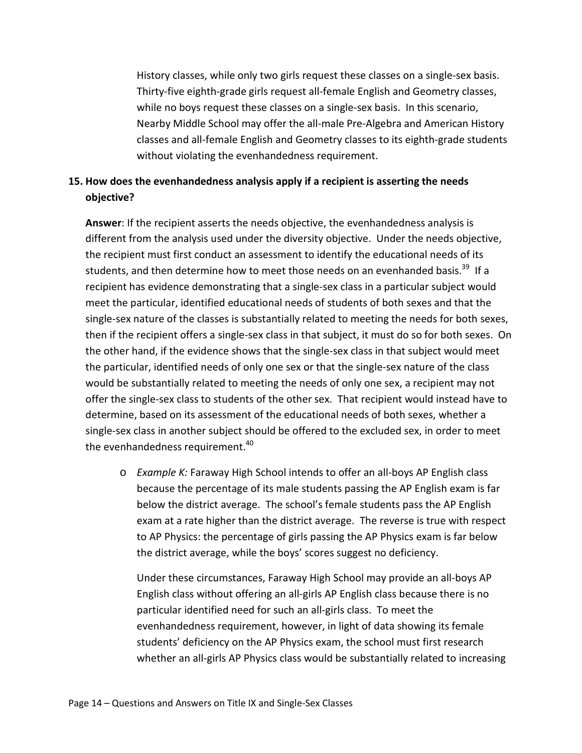History classes, while only two girls request these classes on a single-sex basis. Thirty-five eighth-grade girls request all-female English and Geometry classes, while no boys request these classes on a single-sex basis. In this scenario, Nearby Middle School may offer the all-male Pre-Algebra and American History classes and all-female English and Geometry classes to its eighth-grade students without violating the evenhandedness requirement.

# <span id="page-18-0"></span>**15. How does the evenhandedness analysis apply if a recipient is asserting the needs objective?**

**Answer**: If the recipient asserts the needs objective, the evenhandedness analysis is different from the analysis used under the diversity objective. Under the needs objective, the recipient must first conduct an assessment to identify the educational needs of its students, and then determine how to meet those needs on an evenhanded basis.<sup>39</sup> If a recipient has evidence demonstrating that a single-sex class in a particular subject would meet the particular, identified educational needs of students of both sexes and that the single-sex nature of the classes is substantially related to meeting the needs for both sexes, then if the recipient offers a single-sex class in that subject, it must do so for both sexes. On the other hand, if the evidence shows that the single-sex class in that subject would meet the particular, identified needs of only one sex or that the single-sex nature of the class would be substantially related to meeting the needs of only one sex, a recipient may not offer the single-sex class to students of the other sex. That recipient would instead have to determine, based on its assessment of the educational needs of both sexes, whether a single-sex class in another subject should be offered to the excluded sex, in order to meet the evenhandedness requirement.<sup>40</sup>

o *Example K:* Faraway High School intends to offer an all-boys AP English class because the percentage of its male students passing the AP English exam is far below the district average. The school's female students pass the AP English exam at a rate higher than the district average. The reverse is true with respect to AP Physics: the percentage of girls passing the AP Physics exam is far below the district average, while the boys' scores suggest no deficiency.

Under these circumstances, Faraway High School may provide an all-boys AP English class without offering an all-girls AP English class because there is no particular identified need for such an all-girls class. To meet the evenhandedness requirement, however, in light of data showing its female students' deficiency on the AP Physics exam, the school must first research whether an all-girls AP Physics class would be substantially related to increasing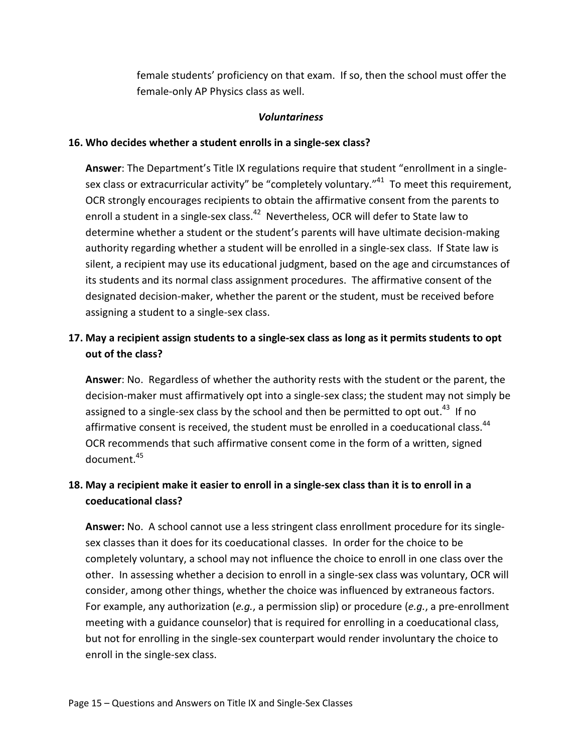female students' proficiency on that exam. If so, then the school must offer the female-only AP Physics class as well.

#### *Voluntariness*

### <span id="page-19-1"></span><span id="page-19-0"></span>**16. Who decides whether a student enrolls in a single-sex class?**

**Answer**: The Department's Title IX regulations require that student "enrollment in a singlesex class or extracurricular activity" be "completely voluntary."<sup>41</sup> To meet this requirement, OCR strongly encourages recipients to obtain the affirmative consent from the parents to enroll a student in a single-sex class.<sup>42</sup> Nevertheless, OCR will defer to State law to determine whether a student or the student's parents will have ultimate decision-making authority regarding whether a student will be enrolled in a single-sex class. If State law is silent, a recipient may use its educational judgment, based on the age and circumstances of its students and its normal class assignment procedures. The affirmative consent of the designated decision-maker, whether the parent or the student, must be received before assigning a student to a single-sex class.

# <span id="page-19-2"></span>**17. May a recipient assign students to a single-sex class as long as it permits students to opt out of the class?**

**Answer**: No. Regardless of whether the authority rests with the student or the parent, the decision-maker must affirmatively opt into a single-sex class; the student may not simply be assigned to a single-sex class by the school and then be permitted to opt out.<sup>43</sup> If no affirmative consent is received, the student must be enrolled in a coeducational class.<sup>44</sup> OCR recommends that such affirmative consent come in the form of a written, signed document.45

# <span id="page-19-3"></span>**18. May a recipient make it easier to enroll in a single-sex class than it is to enroll in a coeducational class?**

**Answer:** No. A school cannot use a less stringent class enrollment procedure for its singlesex classes than it does for its coeducational classes. In order for the choice to be completely voluntary, a school may not influence the choice to enroll in one class over the other. In assessing whether a decision to enroll in a single-sex class was voluntary, OCR will consider, among other things, whether the choice was influenced by extraneous factors. For example, any authorization (*e.g.*, a permission slip) or procedure (*e.g.*, a pre-enrollment meeting with a guidance counselor) that is required for enrolling in a coeducational class, but not for enrolling in the single-sex counterpart would render involuntary the choice to enroll in the single-sex class.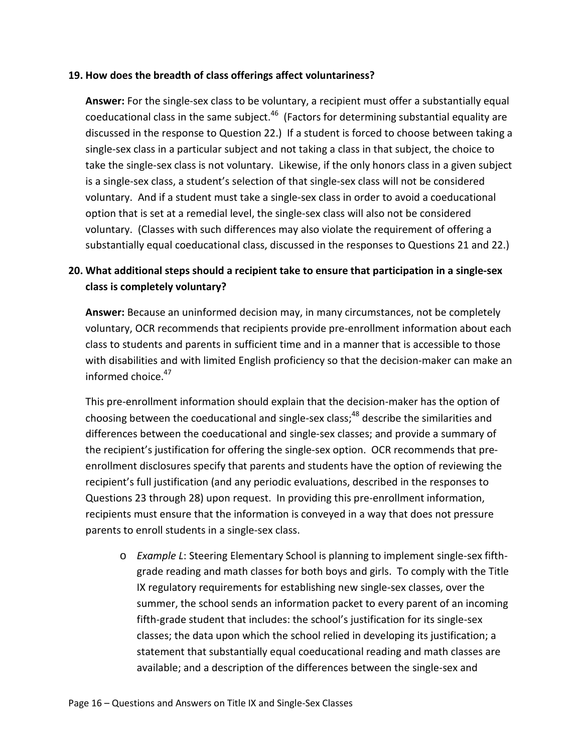#### <span id="page-20-0"></span>**19. How does the breadth of class offerings affect voluntariness?**

**Answer:** For the single-sex class to be voluntary, a recipient must offer a substantially equal coeducational class in the same subject.<sup>46</sup> (Factors for determining substantial equality are discussed in the response to Question 22.) If a student is forced to choose between taking a single-sex class in a particular subject and not taking a class in that subject, the choice to take the single-sex class is not voluntary.Likewise, if the only honors class in a given subject is a single-sex class, a student's selection of that single-sex class will not be considered voluntary. And if a student must take a single-sex class in order to avoid a coeducational option that is set at a remedial level, the single-sex class will also not be considered voluntary. (Classes with such differences may also violate the requirement of offering a substantially equal coeducational class, discussed in the responses to Questions 21 and 22.)

### <span id="page-20-1"></span>**20. What additional steps should a recipient take to ensure that participation in a single-sex class is completely voluntary?**

**Answer:** Because an uninformed decision may, in many circumstances, not be completely voluntary, OCR recommends that recipients provide pre-enrollment information about each class to students and parents in sufficient time and in a manner that is accessible to those with disabilities and with limited English proficiency so that the decision-maker can make an informed choice. 47

This pre-enrollment information should explain that the decision-maker has the option of choosing between the coeducational and single-sex class;<sup>48</sup> describe the similarities and differences between the coeducational and single-sex classes; and provide a summary of the recipient's justification for offering the single-sex option. OCR recommends that preenrollment disclosures specify that parents and students have the option of reviewing the recipient's full justification (and any periodic evaluations, described in the responses to Questions 23 through 28) upon request. In providing this pre-enrollment information, recipients must ensure that the information is conveyed in a way that does not pressure parents to enroll students in a single-sex class.

o *Example L*: Steering Elementary School is planning to implement single-sex fifthgrade reading and math classes for both boys and girls. To comply with the Title IX regulatory requirements for establishing new single-sex classes, over the summer, the school sends an information packet to every parent of an incoming fifth-grade student that includes: the school's justification for its single-sex classes; the data upon which the school relied in developing its justification; a statement that substantially equal coeducational reading and math classes are available; and a description of the differences between the single-sex and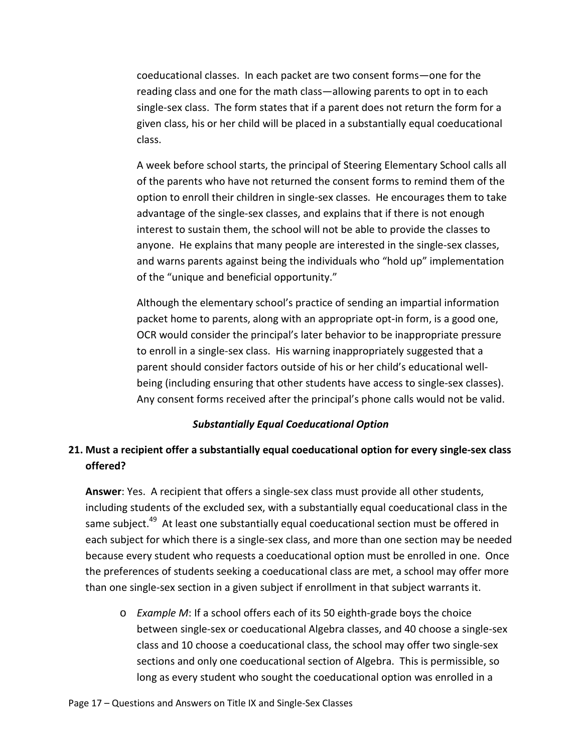coeducational classes. In each packet are two consent forms—one for the reading class and one for the math class—allowing parents to opt in to each single-sex class. The form states that if a parent does not return the form for a given class, his or her child will be placed in a substantially equal coeducational class.

A week before school starts, the principal of Steering Elementary School calls all of the parents who have not returned the consent forms to remind them of the option to enroll their children in single-sex classes. He encourages them to take advantage of the single-sex classes, and explains that if there is not enough interest to sustain them, the school will not be able to provide the classes to anyone. He explains that many people are interested in the single-sex classes, and warns parents against being the individuals who "hold up" implementation of the "unique and beneficial opportunity."

Although the elementary school's practice of sending an impartial information packet home to parents, along with an appropriate opt-in form, is a good one, OCR would consider the principal's later behavior to be inappropriate pressure to enroll in a single-sex class. His warning inappropriately suggested that a parent should consider factors outside of his or her child's educational wellbeing (including ensuring that other students have access to single-sex classes). Any consent forms received after the principal's phone calls would not be valid.

#### *Substantially Equal Coeducational Option*

# <span id="page-21-1"></span><span id="page-21-0"></span>**21. Must a recipient offer a substantially equal coeducational option for every single-sex class offered?**

**Answer**: Yes. A recipient that offers a single-sex class must provide all other students, including students of the excluded sex, with a substantially equal coeducational class in the same subject.<sup>49</sup> At least one substantially equal coeducational section must be offered in each subject for which there is a single-sex class, and more than one section may be needed because every student who requests a coeducational option must be enrolled in one. Once the preferences of students seeking a coeducational class are met, a school may offer more than one single-sex section in a given subject if enrollment in that subject warrants it.

o *Example M*: If a school offers each of its 50 eighth-grade boys the choice between single-sex or coeducational Algebra classes, and 40 choose a single-sex class and 10 choose a coeducational class, the school may offer two single-sex sections and only one coeducational section of Algebra. This is permissible, so long as every student who sought the coeducational option was enrolled in a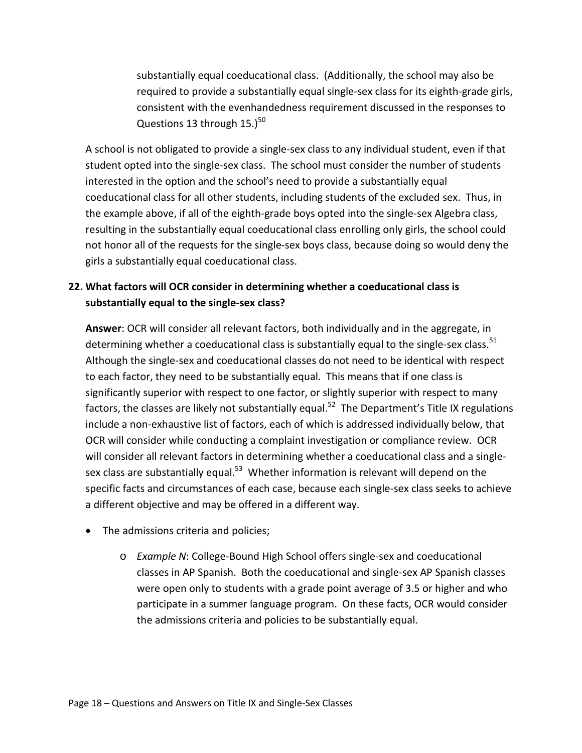substantially equal coeducational class. (Additionally, the school may also be required to provide a substantially equal single-sex class for its eighth-grade girls, consistent with the evenhandedness requirement discussed in the responses to Questions 13 through  $15.$ )<sup>50</sup>

A school is not obligated to provide a single-sex class to any individual student, even if that student opted into the single-sex class. The school must consider the number of students interested in the option and the school's need to provide a substantially equal coeducational class for all other students, including students of the excluded sex. Thus, in the example above, if all of the eighth-grade boys opted into the single-sex Algebra class, resulting in the substantially equal coeducational class enrolling only girls, the school could not honor all of the requests for the single-sex boys class, because doing so would deny the girls a substantially equal coeducational class.

# <span id="page-22-0"></span>**22. What factors will OCR consider in determining whether a coeducational class is substantially equal to the single-sex class?**

**Answer**: OCR will consider all relevant factors, both individually and in the aggregate, in determining whether a coeducational class is substantially equal to the single-sex class.<sup>51</sup> Although the single-sex and coeducational classes do not need to be identical with respect to each factor, they need to be substantially equal. This means that if one class is significantly superior with respect to one factor, or slightly superior with respect to many factors, the classes are likely not substantially equal.<sup>52</sup> The Department's Title IX regulations include a non-exhaustive list of factors, each of which is addressed individually below, that OCR will consider while conducting a complaint investigation or compliance review. OCR will consider all relevant factors in determining whether a coeducational class and a singlesex class are substantially equal.<sup>53</sup> Whether information is relevant will depend on the specific facts and circumstances of each case, because each single-sex class seeks to achieve a different objective and may be offered in a different way.

- The admissions criteria and policies;
	- o *Example N*: College-Bound High School offers single-sex and coeducational classes in AP Spanish. Both the coeducational and single-sex AP Spanish classes were open only to students with a grade point average of 3.5 or higher and who participate in a summer language program. On these facts, OCR would consider the admissions criteria and policies to be substantially equal.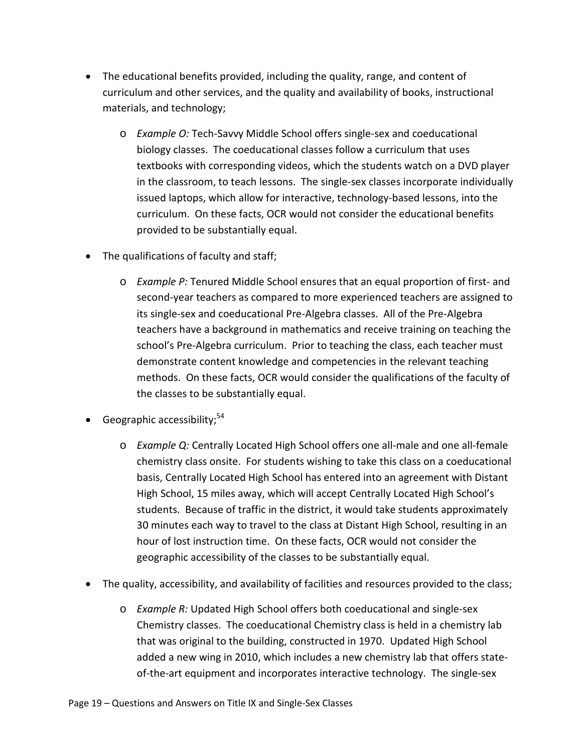- The educational benefits provided, including the quality, range, and content of curriculum and other services, and the quality and availability of books, instructional materials, and technology;
	- o *Example O:* Tech-Savvy Middle School offers single-sex and coeducational biology classes. The coeducational classes follow a curriculum that uses textbooks with corresponding videos, which the students watch on a DVD player in the classroom, to teach lessons. The single-sex classes incorporate individually issued laptops, which allow for interactive, technology-based lessons, into the curriculum. On these facts, OCR would not consider the educational benefits provided to be substantially equal.
- The qualifications of faculty and staff;
	- o *Example P:* Tenured Middle School ensures that an equal proportion of first- and second-year teachers as compared to more experienced teachers are assigned to its single-sex and coeducational Pre-Algebra classes. All of the Pre-Algebra teachers have a background in mathematics and receive training on teaching the school's Pre-Algebra curriculum. Prior to teaching the class, each teacher must demonstrate content knowledge and competencies in the relevant teaching methods. On these facts, OCR would consider the qualifications of the faculty of the classes to be substantially equal.
- Geographic accessibility; $54$ 
	- o *Example Q:* Centrally Located High School offers one all-male and one all-female chemistry class onsite. For students wishing to take this class on a coeducational basis, Centrally Located High School has entered into an agreement with Distant High School, 15 miles away, which will accept Centrally Located High School's students. Because of traffic in the district, it would take students approximately 30 minutes each way to travel to the class at Distant High School, resulting in an hour of lost instruction time. On these facts, OCR would not consider the geographic accessibility of the classes to be substantially equal.
- The quality, accessibility, and availability of facilities and resources provided to the class;
	- o *Example R:* Updated High School offers both coeducational and single-sex Chemistry classes. The coeducational Chemistry class is held in a chemistry lab that was original to the building, constructed in 1970. Updated High School added a new wing in 2010, which includes a new chemistry lab that offers stateof-the-art equipment and incorporates interactive technology. The single-sex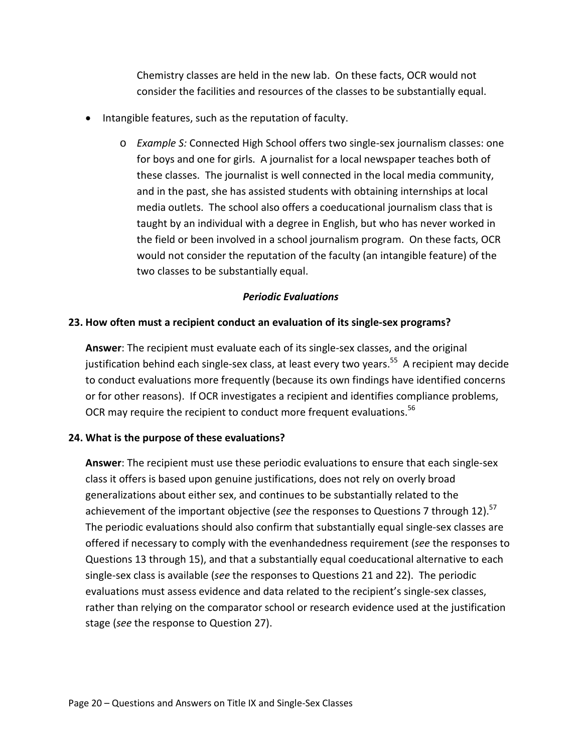Chemistry classes are held in the new lab. On these facts, OCR would not consider the facilities and resources of the classes to be substantially equal.

- Intangible features, such as the reputation of faculty.
	- o *Example S:* Connected High School offers two single-sex journalism classes: one for boys and one for girls. A journalist for a local newspaper teaches both of these classes. The journalist is well connected in the local media community, and in the past, she has assisted students with obtaining internships at local media outlets. The school also offers a coeducational journalism class that is taught by an individual with a degree in English, but who has never worked in the field or been involved in a school journalism program. On these facts, OCR would not consider the reputation of the faculty (an intangible feature) of the two classes to be substantially equal.

#### *Periodic Evaluations*

### <span id="page-24-1"></span><span id="page-24-0"></span>**23. How often must a recipient conduct an evaluation of its single-sex programs?**

**Answer**: The recipient must evaluate each of its single-sex classes, and the original justification behind each single-sex class, at least every two years.<sup>55</sup> A recipient may decide to conduct evaluations more frequently (because its own findings have identified concerns or for other reasons). If OCR investigates a recipient and identifies compliance problems, OCR may require the recipient to conduct more frequent evaluations.<sup>56</sup>

#### <span id="page-24-2"></span>**24. What is the purpose of these evaluations?**

**Answer**: The recipient must use these periodic evaluations to ensure that each single-sex class it offers is based upon genuine justifications, does not rely on overly broad generalizations about either sex, and continues to be substantially related to the achievement of the important objective (see the responses to Questions 7 through 12).<sup>57</sup> The periodic evaluations should also confirm that substantially equal single-sex classes are offered if necessary to comply with the evenhandedness requirement (*see* the responses to Questions 13 through 15), and that a substantially equal coeducational alternative to each single-sex class is available (*see* the responses to Questions 21 and 22). The periodic evaluations must assess evidence and data related to the recipient's single-sex classes, rather than relying on the comparator school or research evidence used at the justification stage (*see* the response to Question 27).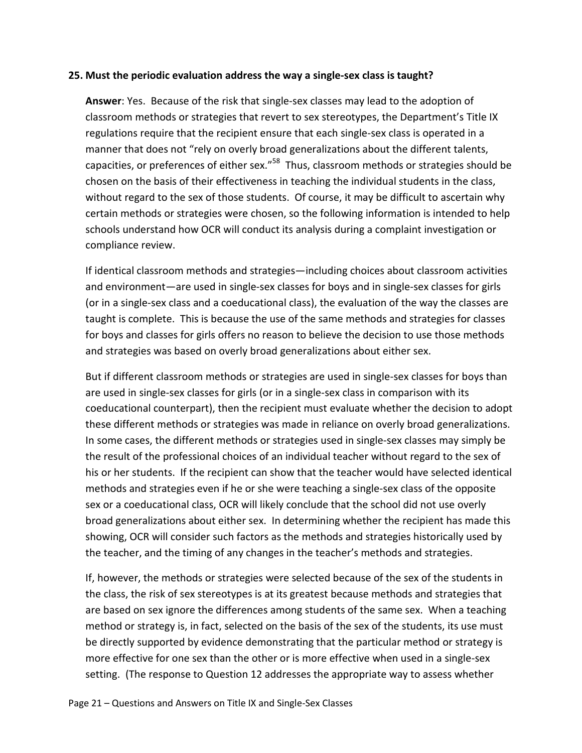#### <span id="page-25-0"></span>**25. Must the periodic evaluation address the way a single-sex class is taught?**

**Answer**: Yes. Because of the risk that single-sex classes may lead to the adoption of classroom methods or strategies that revert to sex stereotypes, the Department's Title IX regulations require that the recipient ensure that each single-sex class is operated in a manner that does not "rely on overly broad generalizations about the different talents, capacities, or preferences of either sex."<sup>58</sup> Thus, classroom methods or strategies should be chosen on the basis of their effectiveness in teaching the individual students in the class, without regard to the sex of those students. Of course, it may be difficult to ascertain why certain methods or strategies were chosen, so the following information is intended to help schools understand how OCR will conduct its analysis during a complaint investigation or compliance review.

If identical classroom methods and strategies—including choices about classroom activities and environment—are used in single-sex classes for boys and in single-sex classes for girls (or in a single-sex class and a coeducational class), the evaluation of the way the classes are taught is complete. This is because the use of the same methods and strategies for classes for boys and classes for girls offers no reason to believe the decision to use those methods and strategies was based on overly broad generalizations about either sex.

But if different classroom methods or strategies are used in single-sex classes for boys than are used in single-sex classes for girls (or in a single-sex class in comparison with its coeducational counterpart), then the recipient must evaluate whether the decision to adopt these different methods or strategies was made in reliance on overly broad generalizations. In some cases, the different methods or strategies used in single-sex classes may simply be the result of the professional choices of an individual teacher without regard to the sex of his or her students. If the recipient can show that the teacher would have selected identical methods and strategies even if he or she were teaching a single-sex class of the opposite sex or a coeducational class, OCR will likely conclude that the school did not use overly broad generalizations about either sex. In determining whether the recipient has made this showing, OCR will consider such factors as the methods and strategies historically used by the teacher, and the timing of any changes in the teacher's methods and strategies.

If, however, the methods or strategies were selected because of the sex of the students in the class, the risk of sex stereotypes is at its greatest because methods and strategies that are based on sex ignore the differences among students of the same sex. When a teaching method or strategy is, in fact, selected on the basis of the sex of the students, its use must be directly supported by evidence demonstrating that the particular method or strategy is more effective for one sex than the other or is more effective when used in a single-sex setting. (The response to Question 12 addresses the appropriate way to assess whether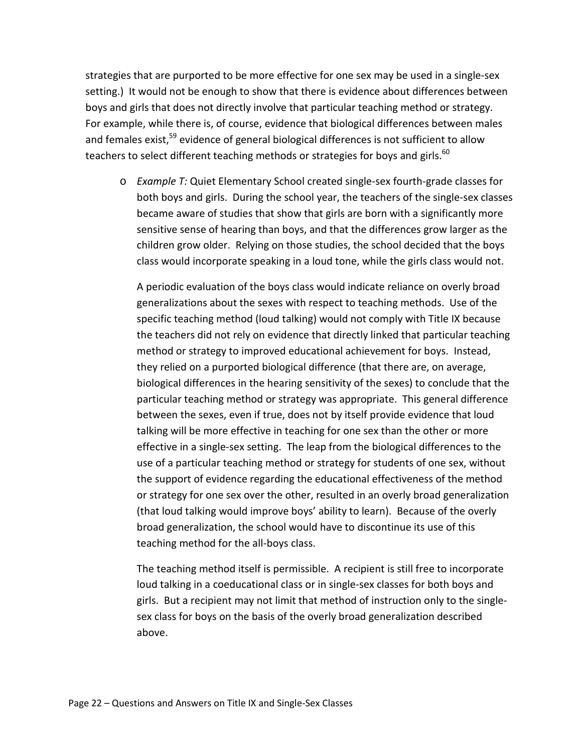strategies that are purported to be more effective for one sex may be used in a single-sex setting.)It would not be enough to show that there is evidence about differences between boys and girls that does not directly involve that particular teaching method or strategy. For example, while there is, of course, evidence that biological differences between males and females exist,<sup>59</sup> evidence of general biological differences is not sufficient to allow teachers to select different teaching methods or strategies for boys and girls.<sup>60</sup>

o *Example T:* Quiet Elementary School created single-sex fourth-grade classes for both boys and girls. During the school year, the teachers of the single-sex classes became aware of studies that show that girls are born with a significantly more sensitive sense of hearing than boys, and that the differences grow larger as the children grow older. Relying on those studies, the school decided that the boys class would incorporate speaking in a loud tone, while the girls class would not.

A periodic evaluation of the boys class would indicate reliance on overly broad generalizations about the sexes with respect to teaching methods. Use of the specific teaching method (loud talking) would not comply with Title IX because the teachers did not rely on evidence that directly linked that particular teaching method or strategy to improved educational achievement for boys. Instead, they relied on a purported biological difference (that there are, on average, biological differences in the hearing sensitivity of the sexes) to conclude that the particular teaching method or strategy was appropriate. This general difference between the sexes, even if true, does not by itself provide evidence that loud talking will be more effective in teaching for one sex than the other or more effective in a single-sex setting. The leap from the biological differences to the use of a particular teaching method or strategy for students of one sex, without the support of evidence regarding the educational effectiveness of the method or strategy for one sex over the other, resulted in an overly broad generalization (that loud talking would improve boys' ability to learn). Because of the overly broad generalization, the school would have to discontinue its use of this teaching method for the all-boys class.

The teaching method itself is permissible. A recipient is still free to incorporate loud talking in a coeducational class or in single-sex classes for both boys and girls. But a recipient may not limit that method of instruction only to the singlesex class for boys on the basis of the overly broad generalization described above.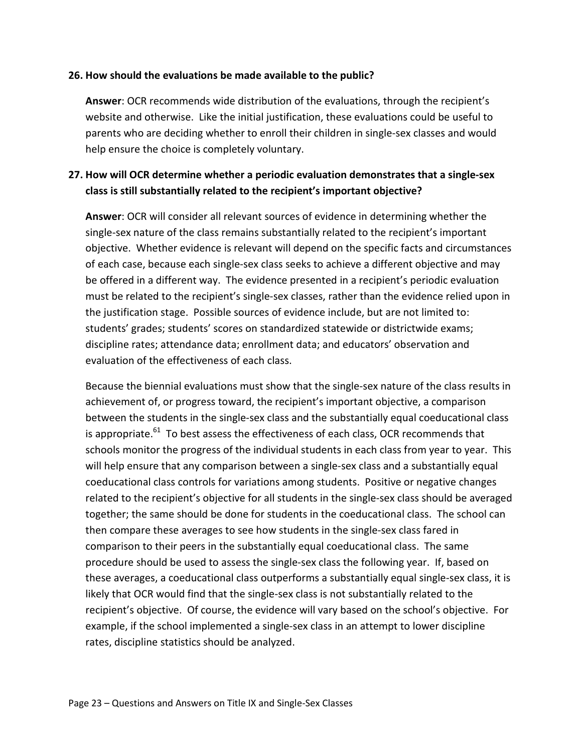#### <span id="page-27-0"></span>**26. How should the evaluations be made available to the public?**

**Answer**: OCR recommends wide distribution of the evaluations, through the recipient's website and otherwise. Like the initial justification, these evaluations could be useful to parents who are deciding whether to enroll their children in single-sex classes and would help ensure the choice is completely voluntary.

# <span id="page-27-1"></span>**27. How will OCR determine whether a periodic evaluation demonstrates that a single-sex class is still substantially related to the recipient's important objective?**

**Answer**: OCR will consider all relevant sources of evidence in determining whether the single-sex nature of the class remains substantially related to the recipient's important objective. Whether evidence is relevant will depend on the specific facts and circumstances of each case, because each single-sex class seeks to achieve a different objective and may be offered in a different way. The evidence presented in a recipient's periodic evaluation must be related to the recipient's single-sex classes, rather than the evidence relied upon in the justification stage. Possible sources of evidence include, but are not limited to: students' grades; students' scores on standardized statewide or districtwide exams; discipline rates; attendance data; enrollment data; and educators' observation and evaluation of the effectiveness of each class.

Because the biennial evaluations must show that the single-sex nature of the class results in achievement of, or progress toward, the recipient's important objective, a comparison between the students in the single-sex class and the substantially equal coeducational class is appropriate.<sup>61</sup> To best assess the effectiveness of each class, OCR recommends that schools monitor the progress of the individual students in each class from year to year. This will help ensure that any comparison between a single-sex class and a substantially equal coeducational class controls for variations among students. Positive or negative changes related to the recipient's objective for all students in the single-sex class should be averaged together; the same should be done for students in the coeducational class. The school can then compare these averages to see how students in the single-sex class fared in comparison to their peers in the substantially equal coeducational class. The same procedure should be used to assess the single-sex class the following year. If, based on these averages, a coeducational class outperforms a substantially equal single-sex class, it is likely that OCR would find that the single-sex class is not substantially related to the recipient's objective. Of course, the evidence will vary based on the school's objective. For example, if the school implemented a single-sex class in an attempt to lower discipline rates, discipline statistics should be analyzed.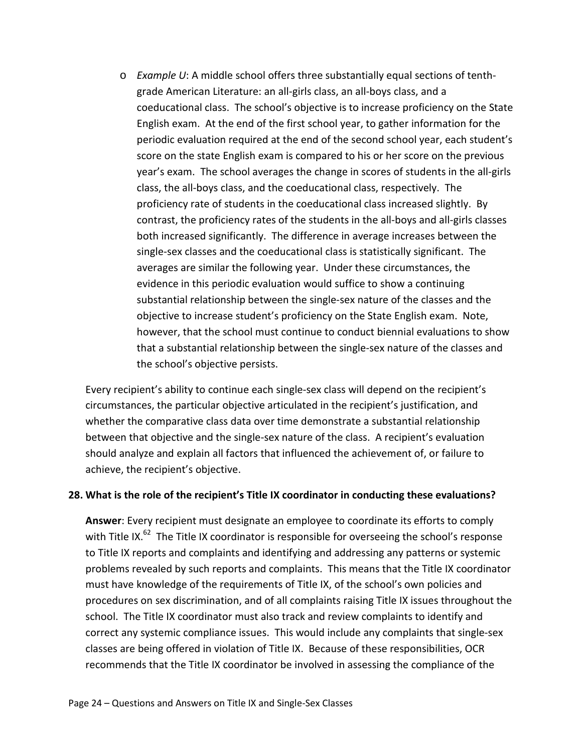o *Example U*: A middle school offers three substantially equal sections of tenthgrade American Literature: an all-girls class, an all-boys class, and a coeducational class. The school's objective is to increase proficiency on the State English exam. At the end of the first school year, to gather information for the periodic evaluation required at the end of the second school year, each student's score on the state English exam is compared to his or her score on the previous year's exam. The school averages the change in scores of students in the all-girls class, the all-boys class, and the coeducational class, respectively. The proficiency rate of students in the coeducational class increased slightly. By contrast, the proficiency rates of the students in the all-boys and all-girls classes both increased significantly. The difference in average increases between the single-sex classes and the coeducational class is statistically significant. The averages are similar the following year. Under these circumstances, the evidence in this periodic evaluation would suffice to show a continuing substantial relationship between the single-sex nature of the classes and the objective to increase student's proficiency on the State English exam. Note, however, that the school must continue to conduct biennial evaluations to show that a substantial relationship between the single-sex nature of the classes and the school's objective persists.

Every recipient's ability to continue each single-sex class will depend on the recipient's circumstances, the particular objective articulated in the recipient's justification, and whether the comparative class data over time demonstrate a substantial relationship between that objective and the single-sex nature of the class. A recipient's evaluation should analyze and explain all factors that influenced the achievement of, or failure to achieve, the recipient's objective.

#### <span id="page-28-0"></span>**28. What is the role of the recipient's Title IX coordinator in conducting these evaluations?**

**Answer**: Every recipient must designate an employee to coordinate its efforts to comply with Title IX.<sup>62</sup> The Title IX coordinator is responsible for overseeing the school's response to Title IX reports and complaints and identifying and addressing any patterns or systemic problems revealed by such reports and complaints. This means that the Title IX coordinator must have knowledge of the requirements of Title IX, of the school's own policies and procedures on sex discrimination, and of all complaints raising Title IX issues throughout the school. The Title IX coordinator must also track and review complaints to identify and correct any systemic compliance issues. This would include any complaints that single-sex classes are being offered in violation of Title IX. Because of these responsibilities, OCR recommends that the Title IX coordinator be involved in assessing the compliance of the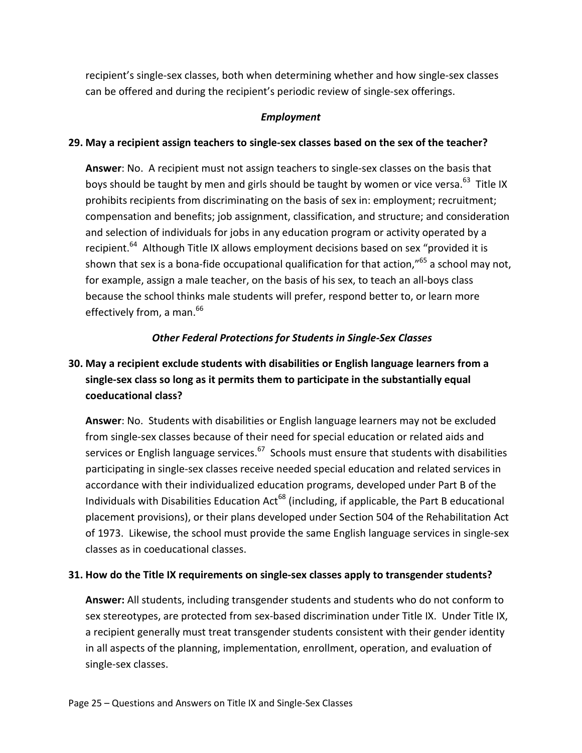recipient's single-sex classes, both when determining whether and how single-sex classes can be offered and during the recipient's periodic review of single-sex offerings.

### *Employment*

### <span id="page-29-1"></span><span id="page-29-0"></span>**29. May a recipient assign teachers to single-sex classes based on the sex of the teacher?**

**Answer**: No. A recipient must not assign teachers to single-sex classes on the basis that boys should be taught by men and girls should be taught by women or vice versa.<sup>63</sup> Title IX prohibits recipients from discriminating on the basis of sex in: employment; recruitment; compensation and benefits; job assignment, classification, and structure; and consideration and selection of individuals for jobs in any education program or activity operated by a recipient.<sup>64</sup> Although Title IX allows employment decisions based on sex "provided it is shown that sex is a bona-fide occupational qualification for that action,"<sup>65</sup> a school may not, for example, assign a male teacher, on the basis of his sex, to teach an all-boys class because the school thinks male students will prefer, respond better to, or learn more effectively from, a man.<sup>66</sup>

### <span id="page-29-2"></span>*Other Federal Protections for Students in Single-Sex Classes*

# <span id="page-29-3"></span>**30. May a recipient exclude students with disabilities or English language learners from a single-sex class so long as it permits them to participate in the substantially equal coeducational class?**

**Answer**: No. Students with disabilities or English language learners may not be excluded from single-sex classes because of their need for special education or related aids and services or English language services. $67$  Schools must ensure that students with disabilities participating in single-sex classes receive needed special education and related services in accordance with their individualized education programs, developed under Part B of the Individuals with Disabilities Education Act<sup>68</sup> (including, if applicable, the Part B educational placement provisions), or their plans developed under Section 504 of the Rehabilitation Act of 1973. Likewise, the school must provide the same English language services in single-sex classes as in coeducational classes.

### <span id="page-29-4"></span>**31. How do the Title IX requirements on single-sex classes apply to transgender students?**

**Answer:** All students, including transgender students and students who do not conform to sex stereotypes, are protected from sex-based discrimination under Title IX. Under Title IX, a recipient generally must treat transgender students consistent with their gender identity in all aspects of the planning, implementation, enrollment, operation, and evaluation of single-sex classes.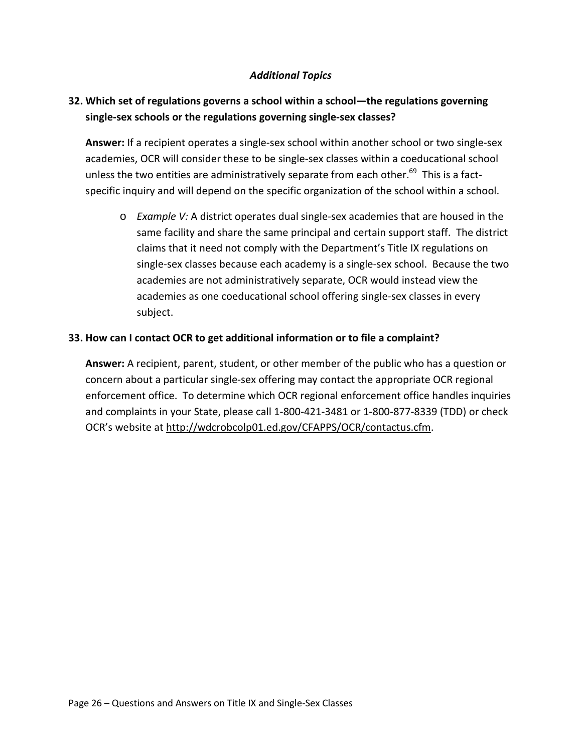### *Additional Topics*

# <span id="page-30-1"></span><span id="page-30-0"></span>**32. Which set of regulations governs a school within a school—the regulations governing single-sex schools or the regulations governing single-sex classes?**

**Answer:** If a recipient operates a single-sex school within another school or two single-sex academies, OCR will consider these to be single-sex classes within a coeducational school unless the two entities are administratively separate from each other.<sup>69</sup> This is a factspecific inquiry and will depend on the specific organization of the school within a school.

o *Example V:* A district operates dual single-sex academies that are housed in the same facility and share the same principal and certain support staff. The district claims that it need not comply with the Department's Title IX regulations on single-sex classes because each academy is a single-sex school. Because the two academies are not administratively separate, OCR would instead view the academies as one coeducational school offering single-sex classes in every subject.

### <span id="page-30-2"></span>**33. How can I contact OCR to get additional information or to file a complaint?**

**Answer:** A recipient, parent, student, or other member of the public who has a question or concern about a particular single-sex offering may contact the appropriate OCR regional enforcement office. To determine which OCR regional enforcement office handles inquiries and complaints in your State, please call 1-800-421-3481 or 1-800-877-8339 (TDD) or check OCR's website at [http://wdcrobcolp01.ed.gov/CFAPPS/OCR/contactus.cfm.](http://wdcrobcolp01.ed.gov/CFAPPS/OCR/contactus.cfm)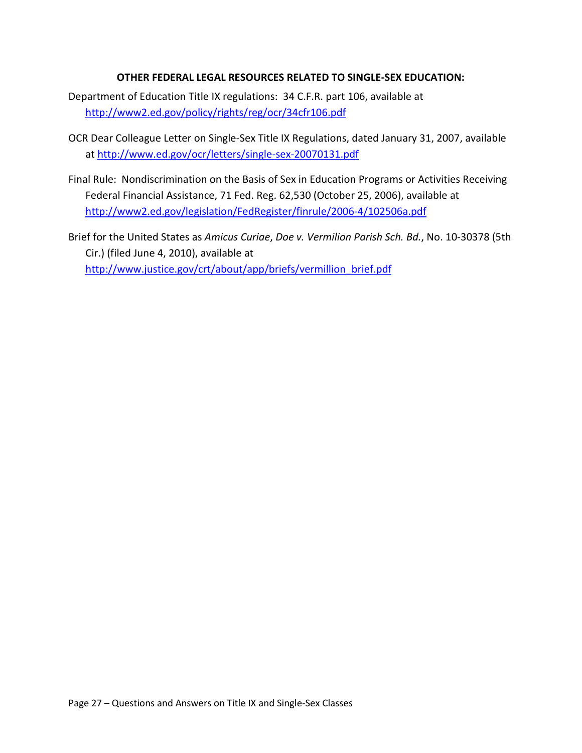### **OTHER FEDERAL LEGAL RESOURCES RELATED TO SINGLE-SEX EDUCATION:**

- Department of Education Title IX regulations: 34 C.F.R. part 106, available at <http://www2.ed.gov/policy/rights/reg/ocr/34cfr106.pdf>
- OCR Dear Colleague Letter on Single-Sex Title IX Regulations, dated January 31, 2007, available at<http://www.ed.gov/ocr/letters/single-sex-20070131.pdf>
- Final Rule: Nondiscrimination on the Basis of Sex in Education Programs or Activities Receiving Federal Financial Assistance, 71 Fed. Reg. 62,530 (October 25, 2006), available at <http://www2.ed.gov/legislation/FedRegister/finrule/2006-4/102506a.pdf>
- Brief for the United States as *Amicus Curiae*, *Doe v. Vermilion Parish Sch. Bd.*, No. 10-30378 (5th Cir.) (filed June 4, 2010), available at [http://www.justice.gov/crt/about/app/briefs/vermillion\\_brief.pdf](http://www.justice.gov/crt/about/app/briefs/vermillion_brief.pdf)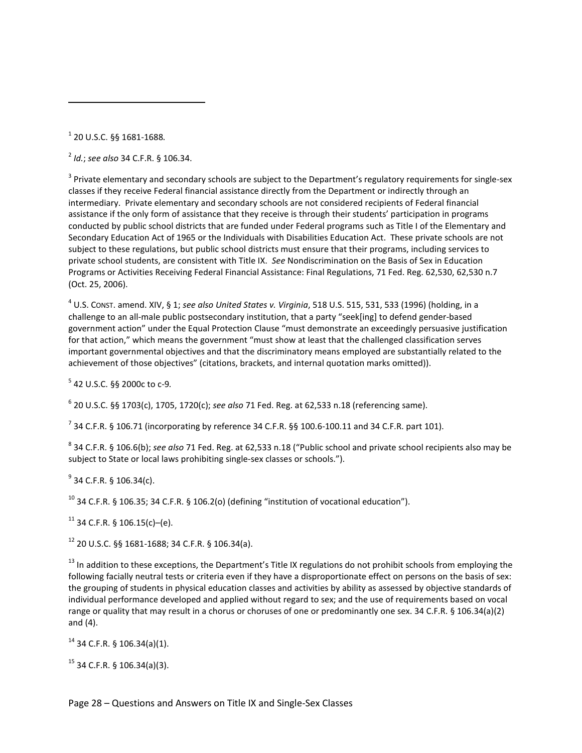<sup>1</sup> 20 U.S.C. §§ 1681-1688*.*

 $\overline{a}$ 

<sup>2</sup> *Id.*; *see also* 34 C.F.R. § 106.34.

<sup>3</sup> Private elementary and secondary schools are subject to the Department's regulatory requirements for single-sex classes if they receive Federal financial assistance directly from the Department or indirectly through an intermediary. Private elementary and secondary schools are not considered recipients of Federal financial assistance if the only form of assistance that they receive is through their students' participation in programs conducted by public school districts that are funded under Federal programs such as Title I of the Elementary and Secondary Education Act of 1965 or the Individuals with Disabilities Education Act. These private schools are not subject to these regulations, but public school districts must ensure that their programs, including services to private school students, are consistent with Title IX. *See* Nondiscrimination on the Basis of Sex in Education Programs or Activities Receiving Federal Financial Assistance: Final Regulations, 71 Fed. Reg. 62,530, 62,530 n.7 (Oct. 25, 2006).

<sup>4</sup> U.S. CONST. amend. XIV, § 1; *see also United States v. Virginia*, 518 U.S. 515, 531, 533 (1996) (holding, in a challenge to an all-male public postsecondary institution, that a party "seek[ing] to defend gender-based government action" under the Equal Protection Clause "must demonstrate an exceedingly persuasive justification for that action," which means the government "must show at least that the challenged classification serves important governmental objectives and that the discriminatory means employed are substantially related to the achievement of those objectives" (citations, brackets, and internal quotation marks omitted)).

<sup>5</sup> 42 U.S.C. §§ 2000c to c-9*.*

<sup>6</sup> 20 U.S.C. §§ 1703(c), 1705, 1720(c); *see also* 71 Fed. Reg. at 62,533 n.18 (referencing same).

 $^7$  34 C.F.R. § 106.71 (incorporating by reference 34 C.F.R. §§ 100.6-100.11 and 34 C.F.R. part 101).

<sup>8</sup> 34 C.F.R. § 106.6(b); *see also* 71 Fed. Reg. at 62,533 n.18 ("Public school and private school recipients also may be subject to State or local laws prohibiting single-sex classes or schools.").

 $9$  34 C.F.R. § 106.34(c).

 $10$  34 C.F.R. § 106.35; 34 C.F.R. § 106.2(o) (defining "institution of vocational education").

 $11$  34 C.F.R. § 106.15(c)–(e).

 $12$  20 U.S.C. §§ 1681-1688; 34 C.F.R. § 106.34(a).

 $13$  In addition to these exceptions, the Department's Title IX regulations do not prohibit schools from employing the following facially neutral tests or criteria even if they have a disproportionate effect on persons on the basis of sex: the grouping of students in physical education classes and activities by ability as assessed by objective standards of individual performance developed and applied without regard to sex; and the use of requirements based on vocal range or quality that may result in a chorus or choruses of one or predominantly one sex. 34 C.F.R. § 106.34(a)(2) and (4).

 $14$  34 C.F.R. § 106.34(a)(1).

 $15$  34 C.F.R. § 106.34(a)(3).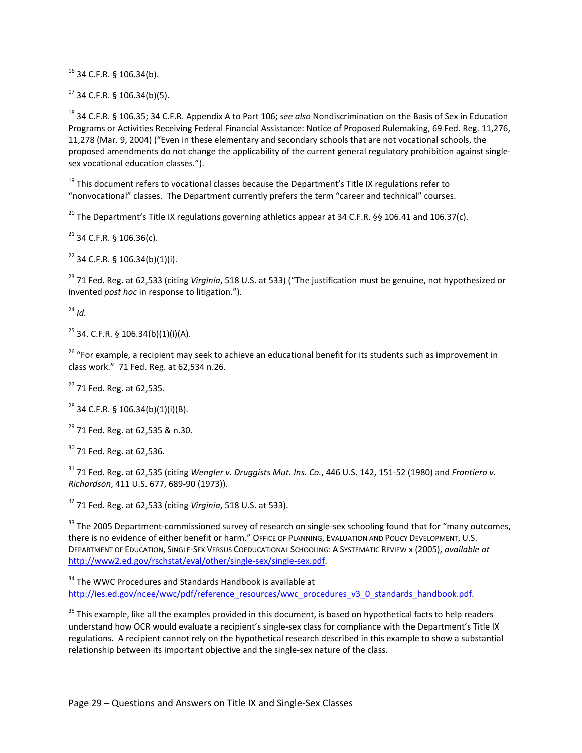<sup>16</sup> 34 C.F.R. § 106.34(b).

 $17$  34 C.F.R. § 106.34(b)(5).

<sup>18</sup> 34 C.F.R. § 106.35; 34 C.F.R. Appendix A to Part 106; *see also* Nondiscrimination on the Basis of Sex in Education Programs or Activities Receiving Federal Financial Assistance: Notice of Proposed Rulemaking, 69 Fed. Reg. 11,276, 11,278 (Mar. 9, 2004) ("Even in these elementary and secondary schools that are not vocational schools, the proposed amendments do not change the applicability of the current general regulatory prohibition against singlesex vocational education classes.").

<sup>19</sup> This document refers to vocational classes because the Department's Title IX regulations refer to "nonvocational" classes. The Department currently prefers the term "career and technical" courses.

<sup>20</sup> The Department's Title IX regulations governing athletics appear at 34 C.F.R. §§ 106.41 and 106.37(c).

 $21$  34 C.F.R. § 106.36(c).

 $22$  34 C.F.R. § 106.34(b)(1)(i).

<sup>23</sup> 71 Fed. Reg. at 62,533 (citing *Virginia*, 518 U.S. at 533) ("The justification must be genuine, not hypothesized or invented *post hoc* in response to litigation.").

 $24$  *Id.* 

 $25$  34. C.F.R. § 106.34(b)(1)(i)(A).

<sup>26</sup> "For example, a recipient may seek to achieve an educational benefit for its students such as improvement in class work." 71 Fed. Reg. at 62,534 n.26.

<sup>27</sup> 71 Fed. Reg. at 62,535.

 $28$  34 C.F.R. § 106.34(b)(1)(i)(B).

 $29$  71 Fed. Reg. at 62,535 & n.30.

 $30$  71 Fed. Reg. at 62,536.

<sup>31</sup> 71 Fed. Reg. at 62,535 (citing *Wengler v. Druggists Mut. Ins. Co.*, 446 U.S. 142, 151-52 (1980) and *Frontiero v. Richardson*, 411 U.S. 677, 689-90 (1973)).

<sup>32</sup> 71 Fed. Reg. at 62,533 (citing *Virginia*, 518 U.S. at 533).

<sup>33</sup> The 2005 Department-commissioned survey of research on single-sex schooling found that for "many outcomes, there is no evidence of either benefit or harm." OFFICE OF PLANNING, EVALUATION AND POLICY DEVELOPMENT, U.S. DEPARTMENT OF EDUCATION, SINGLE-SEX VERSUS COEDUCATIONAL SCHOOLING: A SYSTEMATIC REVIEW x (2005), *available at* [http://www2.ed.gov/rschstat/eval/other/single-sex/single-sex.pdf.](http://www2.ed.gov/rschstat/eval/other/single-sex/single-sex.pdf)

<sup>34</sup> The WWC Procedures and Standards Handbook is available at [http://ies.ed.gov/ncee/wwc/pdf/reference\\_resources/wwc\\_procedures\\_v3\\_0\\_standards\\_handbook](http://ies.ed.gov/ncee/wwc/pdf/reference_resources/wwc_procedures_v3_0_standards_handbook.pdf).pdf.

<sup>35</sup> This example, like all the examples provided in this document, is based on hypothetical facts to help readers understand how OCR would evaluate a recipient's single-sex class for compliance with the Department's Title IX regulations. A recipient cannot rely on the hypothetical research described in this example to show a substantial relationship between its important objective and the single-sex nature of the class.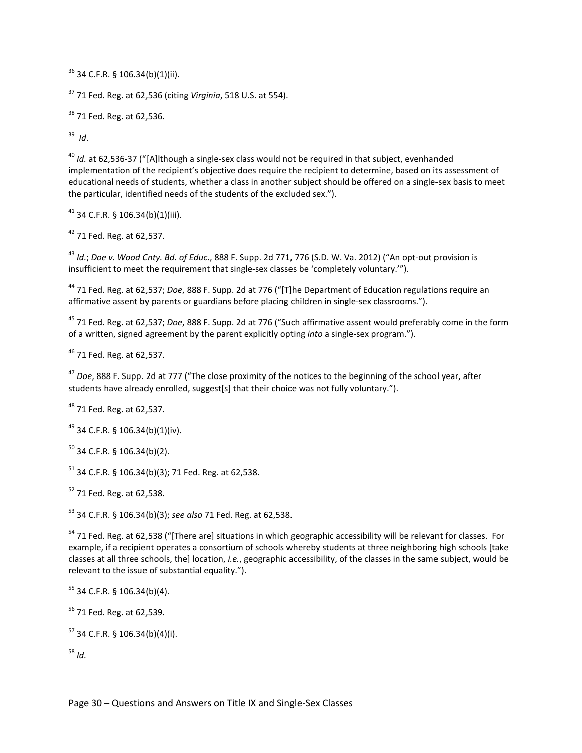34 C.F.R. § 106.34(b)(1)(ii).

71 Fed. Reg. at 62,536 (citing *Virginia*, 518 U.S. at 554).

<sup>38</sup> 71 Fed. Reg. at 62.536.

*Id*.

 *Id.* at 62,536-37 ("[A]lthough a single-sex class would not be required in that subject, evenhanded implementation of the recipient's objective does require the recipient to determine, based on its assessment of educational needs of students, whether a class in another subject should be offered on a single-sex basis to meet the particular, identified needs of the students of the excluded sex.").

34 C.F.R. § 106.34(b)(1)(iii).

71 Fed. Reg. at 62,537.

 *Id.*; *Doe v. Wood Cnty. Bd. of Educ*., 888 F. Supp. 2d 771, 776 (S.D. W. Va. 2012) ("An opt-out provision is insufficient to meet the requirement that single-sex classes be 'completely voluntary.'").

 71 Fed. Reg. at 62,537; *Doe*, 888 F. Supp. 2d at 776 ("[T]he Department of Education regulations require an affirmative assent by parents or guardians before placing children in single-sex classrooms.").

 71 Fed. Reg. at 62,537; *Doe*, 888 F. Supp. 2d at 776 ("Such affirmative assent would preferably come in the form of a written, signed agreement by the parent explicitly opting *into* a single-sex program.").

71 Fed. Reg. at 62,537.

 *Doe*, 888 F. Supp. 2d at 777 ("The close proximity of the notices to the beginning of the school year, after students have already enrolled, suggest[s] that their choice was not fully voluntary.").

71 Fed. Reg. at 62,537.

34 C.F.R. § 106.34(b)(1)(iv).

34 C.F.R. § 106.34(b)(2).

34 C.F.R. § 106.34(b)(3): 71 Fed. Reg. at 62.538.

71 Fed. Reg. at 62,538.

34 C.F.R. § 106.34(b)(3); *see also* 71 Fed. Reg. at 62,538.

<sup>54</sup> 71 Fed. Reg. at 62,538 ("[There are] situations in which geographic accessibility will be relevant for classes. For example, if a recipient operates a consortium of schools whereby students at three neighboring high schools [take classes at all three schools, the] location, *i.e.*, geographic accessibility, of the classes in the same subject, would be relevant to the issue of substantial equality.").

34 C.F.R. § 106.34(b)(4).

71 Fed. Reg. at 62,539.

34 C.F.R. § 106.34(b)(4)(i).

*Id.*